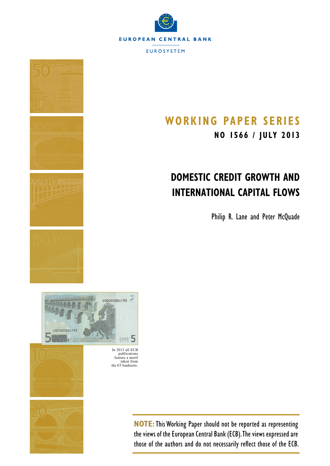



# **Working Paper SerieS NO 1566 / july 2013**

# **Domestic Credit Growth and International Capital Flows**

Philip R. Lane and Peter McQuade



In 2013 all ECB publications feature a motif taken from the  $€5$  banknote.



**NOTE:**This Working Paper should not be reported as representing the views of the European Central Bank (ECB). The views expressed are those of the authors and do not necessarily reflect those of the ECB.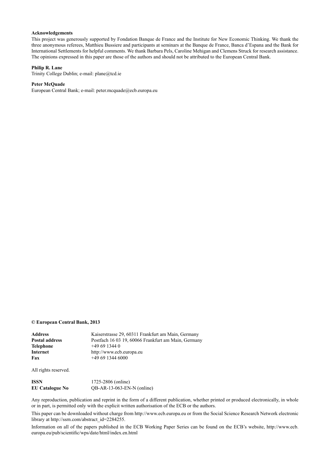#### **Acknowledgements**

This project was generously supported by Fondation Banque de France and the Institute for New Economic Thinking. We thank the three anonymous referees, Matthieu Bussiere and participants at seminars at the Banque de France, Banca d'Espana and the Bank for International Settlements for helpful comments. We thank Barbara Pels, Caroline Mehigan and Clemens Struck for research assistance. The opinions expressed in this paper are those of the authors and should not be attributed to the European Central Bank.

#### **Philip R. Lane**

[Trinity College Dublin;](http://www.tcd.ie/) e-mail: [plane@tcd.ie](mailto:plane%40tcd.ie?subject=)

#### **Peter McQuade**

[European Central Bank](http://www.ecb.europa.eu/home/html/index.en.html); e-mail: [peter.mcquade@ecb.europa.eu](mailto:peter.mcquade%40ecb.europa.eu?subject=)

#### **© European Central Bank, 2013**

| Address        | Kaiserstrasse 29, 60311 Frankfurt am Main, Germany  |
|----------------|-----------------------------------------------------|
| Postal address | Postfach 16 03 19, 60066 Frankfurt am Main, Germany |
| Telephone      | $+496913440$                                        |
| Internet       | http://www.ecb.europa.eu                            |
| Fax            | $+496913446000$                                     |
|                |                                                     |

All rights reserved.

| ISSN                   | 1725-2806 (online)           |
|------------------------|------------------------------|
| <b>EU Catalogue No</b> | $QB-AR-13-063-EN-N$ (online) |

Any reproduction, publication and reprint in the form of a different publication, whether printed or produced electronically, in whole or in part, is permitted only with the explicit written authorisation of the ECB or the authors.

This paper can be downloaded without charge from http://www.ecb.europa.eu or from the Social Science Research Network electronic library at http://ssrn.com/abstract\_id=2284255.

Information on all of the papers published in the ECB Working Paper Series can be found on the ECB's website, [http://www.ecb.](http://www.ecb.europa.eu/pub/scientific/wps/date/html/index.en.html) [europa.eu/pub/scientific/wps/date/html/index.en.html](http://www.ecb.europa.eu/pub/scientific/wps/date/html/index.en.html)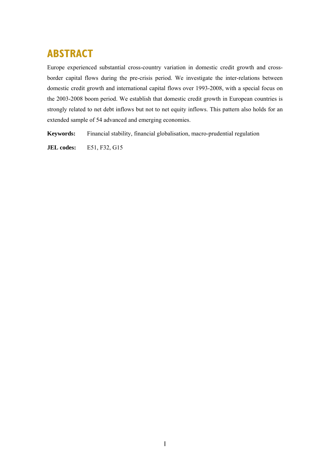# **ABSTRACT**

Europe experienced substantial cross-country variation in domestic credit growth and crossborder capital flows during the pre-crisis period. We investigate the inter-relations between domestic credit growth and international capital flows over 1993-2008, with a special focus on the 2003-2008 boom period. We establish that domestic credit growth in European countries is strongly related to net debt inflows but not to net equity inflows. This pattern also holds for an extended sample of 54 advanced and emerging economies.

**Keywords:** Financial stability, financial globalisation, macro-prudential regulation

**JEL codes:** E51, F32, G15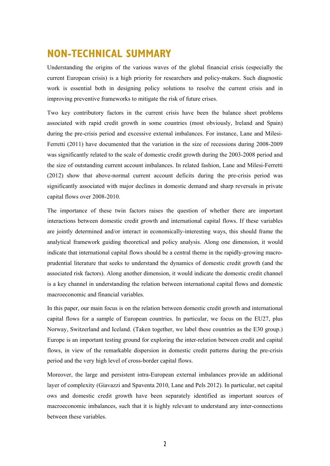## **NON-TECHNICAL SUMMARY**

Understanding the origins of the various waves of the global financial crisis (especially the current European crisis) is a high priority for researchers and policy-makers. Such diagnostic work is essential both in designing policy solutions to resolve the current crisis and in improving preventive frameworks to mitigate the risk of future crises.

Two key contributory factors in the current crisis have been the balance sheet problems associated with rapid credit growth in some countries (most obviously, Ireland and Spain) during the pre-crisis period and excessive external imbalances. For instance, Lane and Milesi-Ferretti (2011) have documented that the variation in the size of recessions during 2008-2009 was significantly related to the scale of domestic credit growth during the 2003-2008 period and the size of outstanding current account imbalances. In related fashion, Lane and Milesi-Ferretti (2012) show that above-normal current account deficits during the pre-crisis period was significantly associated with major declines in domestic demand and sharp reversals in private capital flows over 2008-2010.

The importance of these twin factors raises the question of whether there are important interactions between domestic credit growth and international capital flows. If these variables are jointly determined and/or interact in economically-interesting ways, this should frame the analytical framework guiding theoretical and policy analysis. Along one dimension, it would indicate that international capital flows should be a central theme in the rapidly-growing macroprudential literature that seeks to understand the dynamics of domestic credit growth (and the associated risk factors). Along another dimension, it would indicate the domestic credit channel is a key channel in understanding the relation between international capital flows and domestic macroeconomic and financial variables.

In this paper, our main focus is on the relation between domestic credit growth and international capital flows for a sample of European countries. In particular, we focus on the EU27, plus Norway, Switzerland and Iceland. (Taken together, we label these countries as the E30 group.) Europe is an important testing ground for exploring the inter-relation between credit and capital flows, in view of the remarkable dispersion in domestic credit patterns during the pre-crisis period and the very high level of cross-border capital flows.

Moreover, the large and persistent intra-European external imbalances provide an additional layer of complexity (Giavazzi and Spaventa 2010, Lane and Pels 2012). In particular, net capital ows and domestic credit growth have been separately identified as important sources of macroeconomic imbalances, such that it is highly relevant to understand any inter-connections between these variables.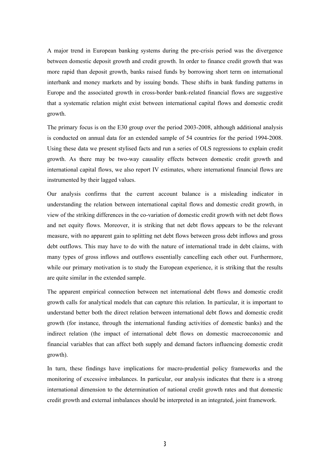A major trend in European banking systems during the pre-crisis period was the divergence between domestic deposit growth and credit growth. In order to finance credit growth that was more rapid than deposit growth, banks raised funds by borrowing short term on international interbank and money markets and by issuing bonds. These shifts in bank funding patterns in Europe and the associated growth in cross-border bank-related financial flows are suggestive that a systematic relation might exist between international capital flows and domestic credit growth.

The primary focus is on the E30 group over the period 2003-2008, although additional analysis is conducted on annual data for an extended sample of 54 countries for the period 1994-2008. Using these data we present stylised facts and run a series of OLS regressions to explain credit growth. As there may be two-way causality effects between domestic credit growth and international capital flows, we also report IV estimates, where international financial flows are instrumented by their lagged values.

Our analysis confirms that the current account balance is a misleading indicator in understanding the relation between international capital flows and domestic credit growth, in view of the striking differences in the co-variation of domestic credit growth with net debt flows and net equity flows. Moreover, it is striking that net debt flows appears to be the relevant measure, with no apparent gain to splitting net debt flows between gross debt inflows and gross debt outflows. This may have to do with the nature of international trade in debt claims, with many types of gross inflows and outflows essentially cancelling each other out. Furthermore, while our primary motivation is to study the European experience, it is striking that the results are quite similar in the extended sample.

The apparent empirical connection between net international debt flows and domestic credit growth calls for analytical models that can capture this relation. In particular, it is important to understand better both the direct relation between international debt flows and domestic credit growth (for instance, through the international funding activities of domestic banks) and the indirect relation (the impact of international debt flows on domestic macroeconomic and financial variables that can affect both supply and demand factors influencing domestic credit growth).

In turn, these findings have implications for macro-prudential policy frameworks and the monitoring of excessive imbalances. In particular, our analysis indicates that there is a strong international dimension to the determination of national credit growth rates and that domestic credit growth and external imbalances should be interpreted in an integrated, joint framework.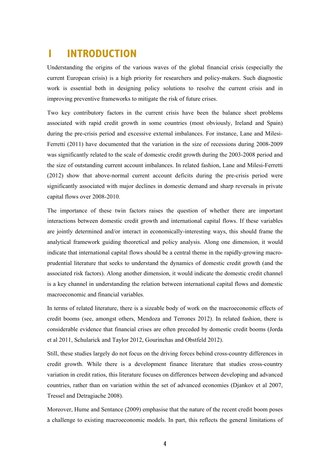# **1 INTRODUCTION**

Understanding the origins of the various waves of the global financial crisis (especially the current European crisis) is a high priority for researchers and policy-makers. Such diagnostic work is essential both in designing policy solutions to resolve the current crisis and in improving preventive frameworks to mitigate the risk of future crises.

Two key contributory factors in the current crisis have been the balance sheet problems associated with rapid credit growth in some countries (most obviously, Ireland and Spain) during the pre-crisis period and excessive external imbalances. For instance, Lane and Milesi-Ferretti (2011) have documented that the variation in the size of recessions during 2008-2009 was significantly related to the scale of domestic credit growth during the 2003-2008 period and the size of outstanding current account imbalances. In related fashion, Lane and Milesi-Ferretti (2012) show that above-normal current account deficits during the pre-crisis period were significantly associated with major declines in domestic demand and sharp reversals in private capital flows over 2008-2010.

The importance of these twin factors raises the question of whether there are important interactions between domestic credit growth and international capital flows. If these variables are jointly determined and/or interact in economically-interesting ways, this should frame the analytical framework guiding theoretical and policy analysis. Along one dimension, it would indicate that international capital flows should be a central theme in the rapidly-growing macroprudential literature that seeks to understand the dynamics of domestic credit growth (and the associated risk factors). Along another dimension, it would indicate the domestic credit channel is a key channel in understanding the relation between international capital flows and domestic macroeconomic and financial variables.

In terms of related literature, there is a sizeable body of work on the macroeconomic effects of credit booms (see, amongst others, Mendoza and Terrones 2012). In related fashion, there is considerable evidence that financial crises are often preceded by domestic credit booms (Jorda et al 2011, Schularick and Taylor 2012, Gourinchas and Obstfeld 2012).

Still, these studies largely do not focus on the driving forces behind cross-country differences in credit growth. While there is a development finance literature that studies cross-country variation in credit ratios, this literature focuses on differences between developing and advanced countries, rather than on variation within the set of advanced economies (Djankov et al 2007, Tressel and Detragiache 2008).

Moreover, Hume and Sentance (2009) emphasise that the nature of the recent credit boom poses a challenge to existing macroeconomic models. In part, this reflects the general limitations of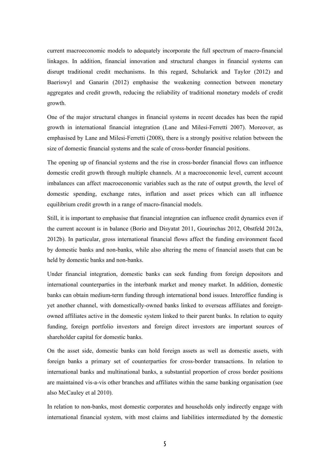current macroeconomic models to adequately incorporate the full spectrum of macro-financial linkages. In addition, financial innovation and structural changes in financial systems can disrupt traditional credit mechanisms. In this regard, Schularick and Taylor (2012) and Baeriswyl and Ganarin (2012) emphasise the weakening connection between monetary aggregates and credit growth, reducing the reliability of traditional monetary models of credit growth.

One of the major structural changes in financial systems in recent decades has been the rapid growth in international financial integration (Lane and Milesi-Ferretti 2007). Moreover, as emphasised by Lane and Milesi-Ferretti (2008), there is a strongly positive relation between the size of domestic financial systems and the scale of cross-border financial positions.

The opening up of financial systems and the rise in cross-border financial flows can influence domestic credit growth through multiple channels. At a macroeconomic level, current account imbalances can affect macroeconomic variables such as the rate of output growth, the level of domestic spending, exchange rates, inflation and asset prices which can all influence equilibrium credit growth in a range of macro-financial models.

Still, it is important to emphasise that financial integration can influence credit dynamics even if the current account is in balance (Borio and Disyatat 2011, Gourinchas 2012, Obstfeld 2012a, 2012b). In particular, gross international financial flows affect the funding environment faced by domestic banks and non-banks, while also altering the menu of financial assets that can be held by domestic banks and non-banks.

Under financial integration, domestic banks can seek funding from foreign depositors and international counterparties in the interbank market and money market. In addition, domestic banks can obtain medium-term funding through international bond issues. Interoffice funding is yet another channel, with domestically-owned banks linked to overseas affiliates and foreignowned affiliates active in the domestic system linked to their parent banks. In relation to equity funding, foreign portfolio investors and foreign direct investors are important sources of shareholder capital for domestic banks.

On the asset side, domestic banks can hold foreign assets as well as domestic assets, with foreign banks a primary set of counterparties for cross-border transactions. In relation to international banks and multinational banks, a substantial proportion of cross border positions are maintained vis-a-vis other branches and affiliates within the same banking organisation (see also McCauley et al 2010).

In relation to non-banks, most domestic corporates and households only indirectly engage with international financial system, with most claims and liabilities intermediated by the domestic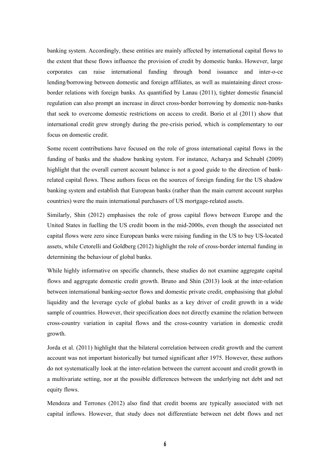banking system. Accordingly, these entities are mainly affected by international capital flows to the extent that these flows influence the provision of credit by domestic banks. However, large corporates can raise international funding through bond issuance and inter-o-ce lending/borrowing between domestic and foreign affiliates, as well as maintaining direct crossborder relations with foreign banks. As quantified by Lanau (2011), tighter domestic financial regulation can also prompt an increase in direct cross-border borrowing by domestic non-banks that seek to overcome domestic restrictions on access to credit. Borio et al (2011) show that international credit grew strongly during the pre-crisis period, which is complementary to our focus on domestic credit.

Some recent contributions have focused on the role of gross international capital flows in the funding of banks and the shadow banking system. For instance, Acharya and Schnabl (2009) highlight that the overall current account balance is not a good guide to the direction of bankrelated capital flows. These authors focus on the sources of foreign funding for the US shadow banking system and establish that European banks (rather than the main current account surplus countries) were the main international purchasers of US mortgage-related assets.

Similarly, Shin (2012) emphasises the role of gross capital flows between Europe and the United States in fuelling the US credit boom in the mid-2000s, even though the associated net capital flows were zero since European banks were raising funding in the US to buy US-located assets, while Cetorelli and Goldberg (2012) highlight the role of cross-border internal funding in determining the behaviour of global banks.

While highly informative on specific channels, these studies do not examine aggregate capital flows and aggregate domestic credit growth. Bruno and Shin (2013) look at the inter-relation between international banking-sector flows and domestic private credit, emphasising that global liquidity and the leverage cycle of global banks as a key driver of credit growth in a wide sample of countries. However, their specification does not directly examine the relation between cross-country variation in capital flows and the cross-country variation in domestic credit growth.

Jorda et al. (2011) highlight that the bilateral correlation between credit growth and the current account was not important historically but turned significant after 1975. However, these authors do not systematically look at the inter-relation between the current account and credit growth in a multivariate setting, nor at the possible differences between the underlying net debt and net equity flows.

Mendoza and Terrones (2012) also find that credit booms are typically associated with net capital inflows. However, that study does not differentiate between net debt flows and net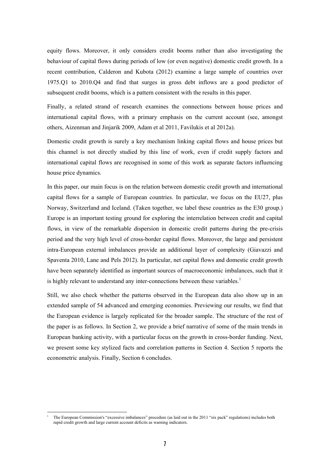equity flows. Moreover, it only considers credit booms rather than also investigating the behaviour of capital flows during periods of low (or even negative) domestic credit growth. In a recent contribution, Calderon and Kubota (2012) examine a large sample of countries over 1975.Q1 to 2010.Q4 and find that surges in gross debt inflows are a good predictor of subsequent credit booms, which is a pattern consistent with the results in this paper.

Finally, a related strand of research examines the connections between house prices and international capital flows, with a primary emphasis on the current account (see, amongst others, Aizenman and Jinjarik 2009, Adam et al 2011, Favilukis et al 2012a).

Domestic credit growth is surely a key mechanism linking capital flows and house prices but this channel is not directly studied by this line of work, even if credit supply factors and international capital flows are recognised in some of this work as separate factors influencing house price dynamics.

In this paper, our main focus is on the relation between domestic credit growth and international capital flows for a sample of European countries. In particular, we focus on the EU27, plus Norway, Switzerland and Iceland. (Taken together, we label these countries as the E30 group.) Europe is an important testing ground for exploring the interrelation between credit and capital flows, in view of the remarkable dispersion in domestic credit patterns during the pre-crisis period and the very high level of cross-border capital flows. Moreover, the large and persistent intra-European external imbalances provide an additional layer of complexity (Giavazzi and Spaventa 2010, Lane and Pels 2012). In particular, net capital flows and domestic credit growth have been separately identified as important sources of macroeconomic imbalances, such that it is highly relevant to understand any inter-connections between these variables.<sup>1</sup>

Still, we also check whether the patterns observed in the European data also show up in an extended sample of 54 advanced and emerging economies. Previewing our results, we find that the European evidence is largely replicated for the broader sample. The structure of the rest of the paper is as follows. In Section 2, we provide a brief narrative of some of the main trends in European banking activity, with a particular focus on the growth in cross-border funding. Next, we present some key stylized facts and correlation patterns in Section 4. Section 5 reports the econometric analysis. Finally, Section 6 concludes.

<sup>1</sup> The European Commission's "excessive imbalances" procedure (as laid out in the 2011 "six pack" regulations) includes both rapid credit growth and large current account deficits as warning indicators.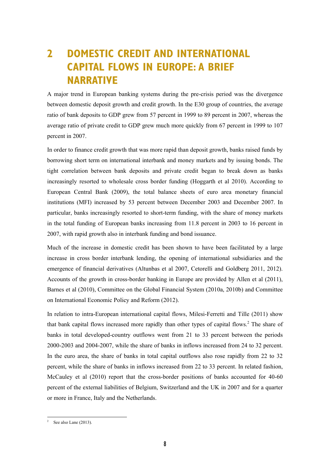# **2 DOMESTIC CREDIT AND INTERNATIONAL CAPITAL FLOWS IN EUROPE: A BRIEF NARRATIVE**

A major trend in European banking systems during the pre-crisis period was the divergence between domestic deposit growth and credit growth. In the E30 group of countries, the average ratio of bank deposits to GDP grew from 57 percent in 1999 to 89 percent in 2007, whereas the average ratio of private credit to GDP grew much more quickly from 67 percent in 1999 to 107 percent in 2007.

In order to finance credit growth that was more rapid than deposit growth, banks raised funds by borrowing short term on international interbank and money markets and by issuing bonds. The tight correlation between bank deposits and private credit began to break down as banks increasingly resorted to wholesale cross border funding (Hoggarth et al 2010). According to European Central Bank (2009), the total balance sheets of euro area monetary financial institutions (MFI) increased by 53 percent between December 2003 and December 2007. In particular, banks increasingly resorted to short-term funding, with the share of money markets in the total funding of European banks increasing from 11.8 percent in 2003 to 16 percent in 2007, with rapid growth also in interbank funding and bond issuance.

Much of the increase in domestic credit has been shown to have been facilitated by a large increase in cross border interbank lending, the opening of international subsidiaries and the emergence of financial derivatives (Altunbas et al 2007, Cetorelli and Goldberg 2011, 2012). Accounts of the growth in cross-border banking in Europe are provided by Allen et al (2011), Barnes et al (2010), Committee on the Global Financial System (2010a, 2010b) and Committee on International Economic Policy and Reform (2012).

In relation to intra-European international capital flows, Milesi-Ferretti and Tille (2011) show that bank capital flows increased more rapidly than other types of capital flows.<sup>2</sup> The share of banks in total developed-country outflows went from 21 to 33 percent between the periods 2000-2003 and 2004-2007, while the share of banks in inflows increased from 24 to 32 percent. In the euro area, the share of banks in total capital outflows also rose rapidly from 22 to 32 percent, while the share of banks in inflows increased from 22 to 33 percent. In related fashion, McCauley et al (2010) report that the cross-border positions of banks accounted for 40-60 percent of the external liabilities of Belgium, Switzerland and the UK in 2007 and for a quarter or more in France, Italy and the Netherlands.

-

<sup>2</sup> See also Lane (2013).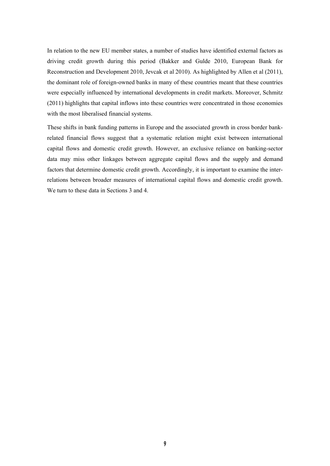In relation to the new EU member states, a number of studies have identified external factors as driving credit growth during this period (Bakker and Gulde 2010, European Bank for Reconstruction and Development 2010, Jevcak et al 2010). As highlighted by Allen et al (2011), the dominant role of foreign-owned banks in many of these countries meant that these countries were especially influenced by international developments in credit markets. Moreover, Schmitz (2011) highlights that capital inflows into these countries were concentrated in those economies with the most liberalised financial systems.

These shifts in bank funding patterns in Europe and the associated growth in cross border bankrelated financial flows suggest that a systematic relation might exist between international capital flows and domestic credit growth. However, an exclusive reliance on banking-sector data may miss other linkages between aggregate capital flows and the supply and demand factors that determine domestic credit growth. Accordingly, it is important to examine the interrelations between broader measures of international capital flows and domestic credit growth. We turn to these data in Sections 3 and 4.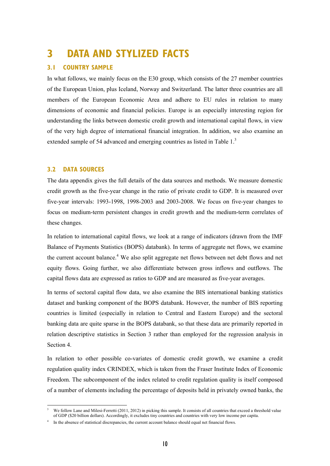## **3 DATA AND STYLIZED FACTS**

### **3.1 COUNTRY SAMPLE**

In what follows, we mainly focus on the E30 group, which consists of the 27 member countries of the European Union, plus Iceland, Norway and Switzerland. The latter three countries are all members of the European Economic Area and adhere to EU rules in relation to many dimensions of economic and financial policies. Europe is an especially interesting region for understanding the links between domestic credit growth and international capital flows, in view of the very high degree of international financial integration. In addition, we also examine an extended sample of 54 advanced and emerging countries as listed in Table 1.<sup>3</sup>

### **3.2 DATA SOURCES**

1

The data appendix gives the full details of the data sources and methods. We measure domestic credit growth as the five-year change in the ratio of private credit to GDP. It is measured over five-year intervals: 1993-1998, 1998-2003 and 2003-2008. We focus on five-year changes to focus on medium-term persistent changes in credit growth and the medium-term correlates of these changes.

In relation to international capital flows, we look at a range of indicators (drawn from the IMF Balance of Payments Statistics (BOPS) databank). In terms of aggregate net flows, we examine the current account balance.<sup>4</sup> We also split aggregate net flows between net debt flows and net equity flows. Going further, we also differentiate between gross inflows and outflows. The capital flows data are expressed as ratios to GDP and are measured as five-year averages.

In terms of sectoral capital flow data, we also examine the BIS international banking statistics dataset and banking component of the BOPS databank. However, the number of BIS reporting countries is limited (especially in relation to Central and Eastern Europe) and the sectoral banking data are quite sparse in the BOPS databank, so that these data are primarily reported in relation descriptive statistics in Section 3 rather than employed for the regression analysis in Section 4.

In relation to other possible co-variates of domestic credit growth, we examine a credit regulation quality index CRINDEX, which is taken from the Fraser Institute Index of Economic Freedom. The subcomponent of the index related to credit regulation quality is itself composed of a number of elements including the percentage of deposits held in privately owned banks, the

<sup>3</sup> We follow Lane and Milesi-Ferretti (2011, 2012) in picking this sample. It consists of all countries that exceed a threshold value of GDP (\$20 billion dollars). Accordingly, it excludes tiny countries and countries with very low income per capita.

<sup>4</sup> In the absence of statistical discrepancies, the current account balance should equal net financial flows.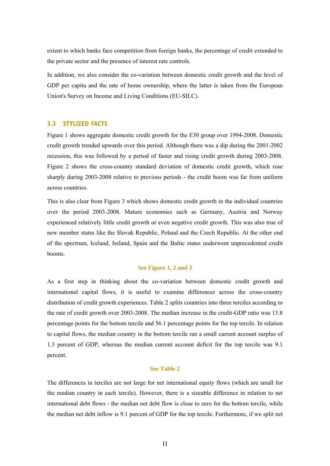extent to which banks face competition from foreign banks, the percentage of credit extended to the private sector and the presence of interest rate controls.

In addition, we also consider the co-variation between domestic credit growth and the level of GDP per capita and the rate of home ownership, where the latter is taken from the European Union's Survey on Income and Living Conditions (EU-SILC).

#### **3.3 STYLIZED FACTS**

Figure 1 shows aggregate domestic credit growth for the E30 group over 1994-2008. Domestic credit growth trended upwards over this period. Although there was a dip during the 2001-2002 recession, this was followed by a period of faster and rising credit growth during 2003-2008. Figure 2 shows the cross-country standard deviation of domestic credit growth, which rose sharply during 2003-2008 relative to previous periods - the credit boom was far from uniform across countries.

This is also clear from Figure 3 which shows domestic credit growth in the individual countries over the period 2003-2008. Mature economies such as Germany, Austria and Norway experienced relatively little credit growth or even negative credit growth. This was also true of new member states like the Slovak Republic, Poland and the Czech Republic. At the other end of the spectrum, Iceland, Ireland, Spain and the Baltic states underwent unprecedented credit booms.

#### **See Figure 1, 2 and 3**

As a first step in thinking about the co-variation between domestic credit growth and international capital flows, it is useful to examine differences across the cross-country distribution of credit growth experiences. Table 2 splits countries into three terciles according to the rate of credit growth over 2003-2008. The median increase in the credit-GDP ratio was 13.8 percentage points for the bottom tercile and 56.1 percentage points for the top tercile. In relation to capital flows, the median country in the bottom tercile ran a small current account surplus of 1.3 percent of GDP, whereas the median current account deficit for the top tercile was 9.1 percent.

#### **See Table 2**

The differences in terciles are not large for net international equity flows (which are small for the median country in each tercile). However, there is a sizeable difference in relation to net international debt flows - the median net debt flow is close to zero for the bottom tercile, while the median net debt inflow is 9.1 percent of GDP for the top tercile. Furthermore, if we split net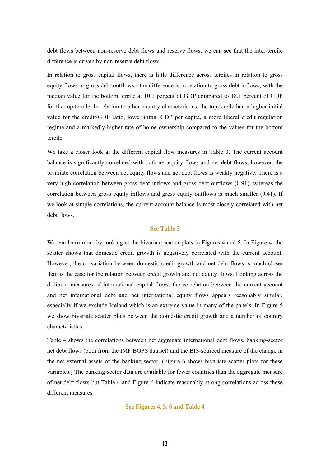debt flows between non-reserve debt flows and reserve flows, we can see that the inter-tercile difference is driven by non-reserve debt flows.

In relation to gross capital flows, there is little difference across terciles in relation to gross equity flows or gross debt outflows - the difference is in relation to gross debt inflows, with the median value for the bottom tercile at 10.1 percent of GDP compared to 18.1 percent of GDP for the top tercile. In relation to other country characteristics, the top tercile had a higher initial value for the credit/GDP ratio, lower initial GDP per capita, a more liberal credit regulation regime and a markedly-higher rate of home ownership compared to the values for the bottom tercile.

We take a closer look at the different capital flow measures in Table 3. The current account balance is significantly correlated with both net equity flows and net debt flows; however, the bivariate correlation between net equity flows and net debt flows is weakly negative. There is a very high correlation between gross debt inflows and gross debt outflows (0.91), whereas the correlation between gross equity inflows and gross equity outflows is much smaller (0.41). If we look at simple correlations, the current account balance is most closely correlated with net debt flows.

#### **See Table 3**

We can learn more by looking at the bivariate scatter plots in Figures 4 and 5. In Figure 4, the scatter shows that domestic credit growth is negatively correlated with the current account. However, the co-variation between domestic credit growth and net debt flows is much closer than is the case for the relation between credit growth and net equity flows. Looking across the different measures of international capital flows, the correlation between the current account and net international debt and net international equity flows appears reasonably similar, especially if we exclude Iceland which is an extreme value in many of the panels. In Figure 5 we show bivariate scatter plots between the domestic credit growth and a number of country characteristics.

Table 4 shows the correlations between net aggregate international debt flows, banking-sector net debt flows (both from the IMF BOPS dataset) and the BIS-sourced measure of the change in the net external assets of the banking sector. (Figure 6 shows bivariate scatter plots for these variables.) The banking-sector data are available for fewer countries than the aggregate measure of net debt flows but Table 4 and Figure 6 indicate reasonably-strong correlations across these different measures.

**See Figures 4, 5, 6 and Table 4**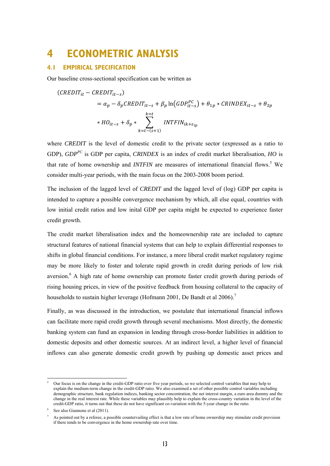### **4 ECONOMETRIC ANALYSIS**

### **4.1 EMPIRICAL SPECIFICATION**

Our baseline cross-sectional specification can be written as

$$
(CREDIT_{it} - CREDIT_{it-s})
$$
  
=  $\alpha_p - \delta_p CREDIT_{it-s} + \beta_p \ln(GDP_{it-s}^{PC}) + \theta_{1p} * CRINDER_{it-s} + \theta_{2p}$   
\*  $HO_{it-s} + \delta_p * \sum_{k=t-(s+1)}^{k=t} INTFIN_{ik+ε_{ip}}$ 

where *CREDIT* is the level of domestic credit to the private sector (expressed as a ratio to GDP), *GDPPC* is GDP per capita, *CRINDEX* is an index of credit market liberalisation, *HO* is that rate of home ownership and *INTFIN* are measures of international financial flows.<sup>5</sup> We consider multi-year periods, with the main focus on the 2003-2008 boom period.

The inclusion of the lagged level of *CREDIT* and the lagged level of (log) GDP per capita is intended to capture a possible convergence mechanism by which, all else equal, countries with low initial credit ratios and low inital GDP per capita might be expected to experience faster credit growth.

The credit market liberalisation index and the homeownership rate are included to capture structural features of national financial systems that can help to explain differential responses to shifts in global financial conditions. For instance, a more liberal credit market regulatory regime may be more likely to foster and tolerate rapid growth in credit during periods of low risk aversion.<sup>6</sup> A high rate of home ownership can promote faster credit growth during periods of rising housing prices, in view of the positive feedback from housing collateral to the capacity of households to sustain higher leverage (Hofmann 2001, De Bandt et al 2006).<sup>7</sup>

Finally, as was discussed in the introduction, we postulate that international financial inflows can facilitate more rapid credit growth through several mechanisms. Most directly, the domestic banking system can fund an expansion in lending through cross-border liabilities in addition to domestic deposits and other domestic sources. At an indirect level, a higher level of financial inflows can also generate domestic credit growth by pushing up domestic asset prices and

<sup>5</sup> Our focus is on the change in the credit-GDP ratio over five year periods, so we selected control variables that may help to explain the medium-term change in the credit-GDP ratio. We also examined a set of other possible control variables including demographic structure, bank regulation indices, banking sector concentration, the net interest margin, a euro area dummy and the change in the real interest rate. While these variables may plausibly help to explain the cross-country variation in the level of the credit-GDP ratio, it turns out that these do not have significant co-variation with the 5-year change in the ratio.

<sup>6</sup> See also Giannone et al (2011).

<sup>7</sup> As pointed out by a referee, a possible countervailing effect is that a low rate of home ownership may stimulate credit provision if there tends to be convergence in the home ownership rate over time.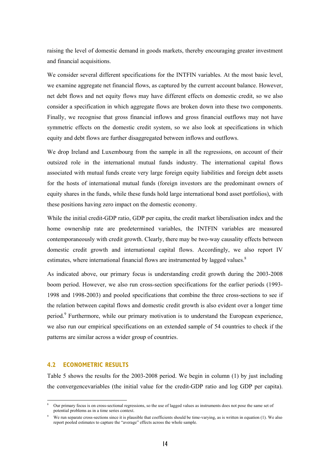raising the level of domestic demand in goods markets, thereby encouraging greater investment and financial acquisitions.

We consider several different specifications for the INTFIN variables. At the most basic level, we examine aggregate net financial flows, as captured by the current account balance. However, net debt flows and net equity flows may have different effects on domestic credit, so we also consider a specification in which aggregate flows are broken down into these two components. Finally, we recognise that gross financial inflows and gross financial outflows may not have symmetric effects on the domestic credit system, so we also look at specifications in which equity and debt flows are further disaggregated between inflows and outflows.

We drop Ireland and Luxembourg from the sample in all the regressions, on account of their outsized role in the international mutual funds industry. The international capital flows associated with mutual funds create very large foreign equity liabilities and foreign debt assets for the hosts of international mutual funds (foreign investors are the predominant owners of equity shares in the funds, while these funds hold large international bond asset portfolios), with these positions having zero impact on the domestic economy.

While the initial credit-GDP ratio, GDP per capita, the credit market liberalisation index and the home ownership rate are predetermined variables, the INTFIN variables are measured contemporaneously with credit growth. Clearly, there may be two-way causality effects between domestic credit growth and international capital flows. Accordingly, we also report IV estimates, where international financial flows are instrumented by lagged values.<sup>8</sup>

As indicated above, our primary focus is understanding credit growth during the 2003-2008 boom period. However, we also run cross-section specifications for the earlier periods (1993- 1998 and 1998-2003) and pooled specifications that combine the three cross-sections to see if the relation between capital flows and domestic credit growth is also evident over a longer time period.<sup>9</sup> Furthermore, while our primary motivation is to understand the European experience, we also run our empirical specifications on an extended sample of 54 countries to check if the patterns are similar across a wider group of countries.

#### **4.2 ECONOMETRIC RESULTS**

1

Table 5 shows the results for the 2003-2008 period. We begin in column (1) by just including the convergencevariables (the initial value for the credit-GDP ratio and log GDP per capita).

<sup>8</sup> Our primary focus is on cross-sectional regressions, so the use of lagged values as instruments does not pose the same set of potential problems as in a time series context.

<sup>9</sup> We run separate cross-sections since it is plausible that coefficients should be time-varying, as is written in equation (1). We also report pooled estimates to capture the "average" effects across the whole sample.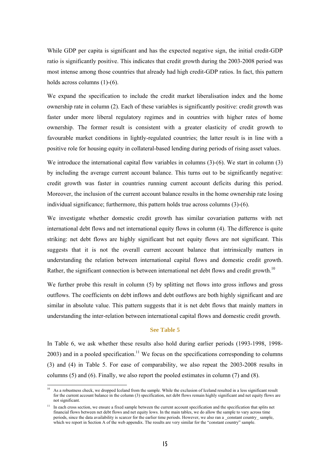While GDP per capita is significant and has the expected negative sign, the initial credit-GDP ratio is significantly positive. This indicates that credit growth during the 2003-2008 period was most intense among those countries that already had high credit-GDP ratios. In fact, this pattern holds across columns (1)-(6).

We expand the specification to include the credit market liberalisation index and the home ownership rate in column (2). Each of these variables is significantly positive: credit growth was faster under more liberal regulatory regimes and in countries with higher rates of home ownership. The former result is consistent with a greater elasticity of credit growth to favourable market conditions in lightly-regulated countries; the latter result is in line with a positive role for housing equity in collateral-based lending during periods of rising asset values.

We introduce the international capital flow variables in columns (3)-(6). We start in column (3) by including the average current account balance. This turns out to be significantly negative: credit growth was faster in countries running current account deficits during this period. Moreover, the inclusion of the current account balance results in the home ownership rate losing individual significance; furthermore, this pattern holds true across columns (3)-(6).

We investigate whether domestic credit growth has similar covariation patterns with net international debt flows and net international equity flows in column (4). The difference is quite striking: net debt flows are highly significant but net equity flows are not significant. This suggests that it is not the overall current account balance that intrinsically matters in understanding the relation between international capital flows and domestic credit growth. Rather, the significant connection is between international net debt flows and credit growth.<sup>10</sup>

We further probe this result in column (5) by splitting net flows into gross inflows and gross outflows. The coefficients on debt inflows and debt outflows are both highly significant and are similar in absolute value. This pattern suggests that it is net debt flows that mainly matters in understanding the inter-relation between international capital flows and domestic credit growth.

#### **See Table 5**

In Table 6, we ask whether these results also hold during earlier periods (1993-1998, 1998-  $2003$ ) and in a pooled specification.<sup>11</sup> We focus on the specifications corresponding to columns (3) and (4) in Table 5. For ease of comparability, we also repeat the 2003-2008 results in columns (5) and (6). Finally, we also report the pooled estimates in column (7) and (8).

<sup>10</sup> As a robustness check, we dropped Iceland from the sample. While the exclusion of Iceland resulted in a less significant result for the current account balance in the column (3) specification, net debt flows remain highly significant and net equity flows are not significant.

<sup>&</sup>lt;sup>11</sup> In each cross section, we ensure a fixed sample between the current account specification and the specification that splits net financial flows between net debt flows and net equity lows. In the main tables, we do allow the sample to vary across time periods, since the data availability is scarcer for the earlier time periods. However, we also ran a \_constant country\_ sample, which we report in Section A of the web appendix. The results are very similar for the "constant country" sample.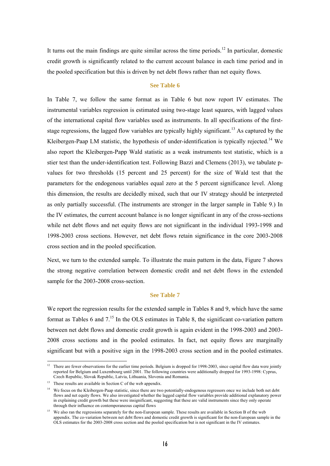It turns out the main findings are quite similar across the time periods.<sup>12</sup> In particular, domestic credit growth is significantly related to the current account balance in each time period and in the pooled specification but this is driven by net debt flows rather than net equity flows.

#### **See Table 6**

In Table 7, we follow the same format as in Table 6 but now report IV estimates. The instrumental variables regression is estimated using two-stage least squares, with lagged values of the international capital flow variables used as instruments. In all specifications of the firststage regressions, the lagged flow variables are typically highly significant.<sup>13</sup> As captured by the Kleibergen-Paap LM statistic, the hypothesis of under-identification is typically rejected.<sup>14</sup> We also report the Kleibergen-Papp Wald statistic as a weak instruments test statistic, which is a stier test than the under-identification test. Following Bazzi and Clemens (2013), we tabulate pvalues for two thresholds (15 percent and 25 percent) for the size of Wald test that the parameters for the endogenous variables equal zero at the 5 percent significance level. Along this dimension, the results are decidedly mixed, such that our IV strategy should be interpreted as only partially successful. (The instruments are stronger in the larger sample in Table 9.) In the IV estimates, the current account balance is no longer significant in any of the cross-sections while net debt flows and net equity flows are not significant in the individual 1993-1998 and 1998-2003 cross sections. However, net debt flows retain significance in the core 2003-2008 cross section and in the pooled specification.

Next, we turn to the extended sample. To illustrate the main pattern in the data, Figure 7 shows the strong negative correlation between domestic credit and net debt flows in the extended sample for the 2003-2008 cross-section.

#### **See Table 7**

We report the regression results for the extended sample in Tables 8 and 9, which have the same format as Tables 6 and  $7<sup>15</sup>$  In the OLS estimates in Table 8, the significant co-variation pattern between net debt flows and domestic credit growth is again evident in the 1998-2003 and 2003- 2008 cross sections and in the pooled estimates. In fact, net equity flows are marginally significant but with a positive sign in the 1998-2003 cross section and in the pooled estimates.

<sup>1</sup>  $12$  There are fewer observations for the earlier time periods. Belgium is dropped for 1998-2003, since capital flow data were jointly reported for Belgium and Luxembourg until 2001. The following countries were additionally dropped for 1993-1998: Cyprus, Czech Republic, Slovak Republic, Latvia, Lithuania, Slovenia and Romania.

<sup>&</sup>lt;sup>13</sup> These results are available in Section C of the web appendix.

<sup>&</sup>lt;sup>14</sup> We focus on the Kleibergen-Paap statistic, since there are two potentially-endogenous regressors once we include both net debt flows and net equity flows. We also investigated whether the lagged capital flow variables provide additional explanatory power in explaining credit growth but these were insignificant, suggesting that these are valid instruments since they only operate through their influence on contemporaneous capital flows

<sup>&</sup>lt;sup>15</sup> We also ran the regressions separately for the non-European sample. These results are available in Section B of the web appendix. The co-variation between net debt flows and domestic credit growth is significant for the non-European sample in the OLS estimates for the 2003-2008 cross section and the pooled specification but is not significant in the IV estimates.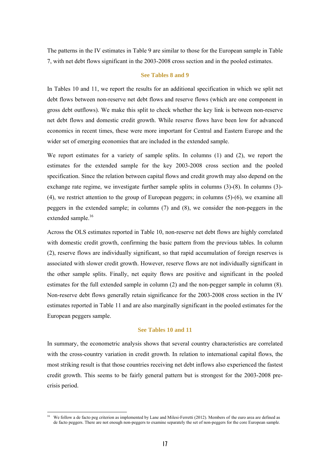The patterns in the IV estimates in Table 9 are similar to those for the European sample in Table 7, with net debt flows significant in the 2003-2008 cross section and in the pooled estimates.

#### **See Tables 8 and 9**

In Tables 10 and 11, we report the results for an additional specification in which we split net debt flows between non-reserve net debt flows and reserve flows (which are one component in gross debt outflows). We make this split to check whether the key link is between non-reserve net debt flows and domestic credit growth. While reserve flows have been low for advanced economics in recent times, these were more important for Central and Eastern Europe and the wider set of emerging economies that are included in the extended sample.

We report estimates for a variety of sample splits. In columns (1) and (2), we report the estimates for the extended sample for the key 2003-2008 cross section and the pooled specification. Since the relation between capital flows and credit growth may also depend on the exchange rate regime, we investigate further sample splits in columns (3)-(8). In columns (3)-(4), we restrict attention to the group of European peggers; in columns (5)-(6), we examine all peggers in the extended sample; in columns (7) and (8), we consider the non-peggers in the extended sample.<sup>16</sup>

Across the OLS estimates reported in Table 10, non-reserve net debt flows are highly correlated with domestic credit growth, confirming the basic pattern from the previous tables. In column (2), reserve flows are individually significant, so that rapid accumulation of foreign reserves is associated with slower credit growth. However, reserve flows are not individually significant in the other sample splits. Finally, net equity flows are positive and significant in the pooled estimates for the full extended sample in column (2) and the non-pegger sample in column (8). Non-reserve debt flows generally retain significance for the 2003-2008 cross section in the IV estimates reported in Table 11 and are also marginally significant in the pooled estimates for the European peggers sample.

#### **See Tables 10 and 11**

In summary, the econometric analysis shows that several country characteristics are correlated with the cross-country variation in credit growth. In relation to international capital flows, the most striking result is that those countries receiving net debt inflows also experienced the fastest credit growth. This seems to be fairly general pattern but is strongest for the 2003-2008 precrisis period.

<sup>&</sup>lt;sup>16</sup> We follow a de facto peg criterion as implemented by Lane and Milesi-Ferretti (2012). Members of the euro area are defined as de facto peggers. There are not enough non-peggers to examine separately the set of non-peggers for the core European sample.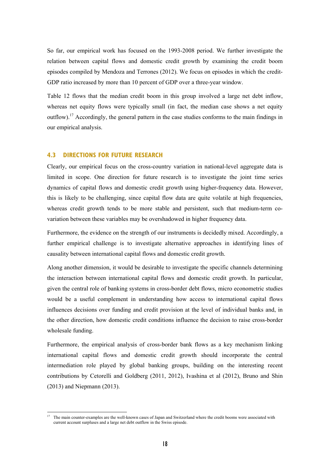So far, our empirical work has focused on the 1993-2008 period. We further investigate the relation between capital flows and domestic credit growth by examining the credit boom episodes compiled by Mendoza and Terrones (2012). We focus on episodes in which the credit-GDP ratio increased by more than 10 percent of GDP over a three-year window.

Table 12 flows that the median credit boom in this group involved a large net debt inflow, whereas net equity flows were typically small (in fact, the median case shows a net equity outflow).<sup>17</sup> Accordingly, the general pattern in the case studies conforms to the main findings in our empirical analysis.

### **4.3 DIRECTIONS FOR FUTURE RESEARCH**

1

Clearly, our empirical focus on the cross-country variation in national-level aggregate data is limited in scope. One direction for future research is to investigate the joint time series dynamics of capital flows and domestic credit growth using higher-frequency data. However, this is likely to be challenging, since capital flow data are quite volatile at high frequencies, whereas credit growth tends to be more stable and persistent, such that medium-term covariation between these variables may be overshadowed in higher frequency data.

Furthermore, the evidence on the strength of our instruments is decidedly mixed. Accordingly, a further empirical challenge is to investigate alternative approaches in identifying lines of causality between international capital flows and domestic credit growth.

Along another dimension, it would be desirable to investigate the specific channels determining the interaction between international capital flows and domestic credit growth. In particular, given the central role of banking systems in cross-border debt flows, micro econometric studies would be a useful complement in understanding how access to international capital flows influences decisions over funding and credit provision at the level of individual banks and, in the other direction, how domestic credit conditions influence the decision to raise cross-border wholesale funding.

Furthermore, the empirical analysis of cross-border bank flows as a key mechanism linking international capital flows and domestic credit growth should incorporate the central intermediation role played by global banking groups, building on the interesting recent contributions by Cetorelli and Goldberg (2011, 2012), Ivashina et al (2012), Bruno and Shin (2013) and Niepmann (2013).

 $17$  The main counter-examples are the well-known cases of Japan and Switzerland where the credit booms were associated with current account surpluses and a large net debt outflow in the Swiss episode.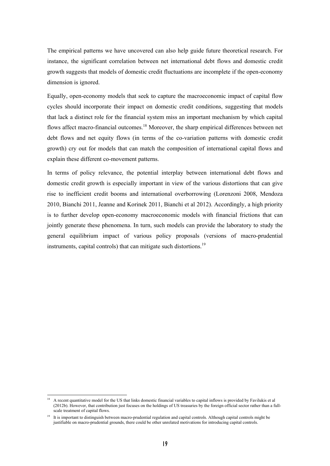The empirical patterns we have uncovered can also help guide future theoretical research. For instance, the significant correlation between net international debt flows and domestic credit growth suggests that models of domestic credit fluctuations are incomplete if the open-economy dimension is ignored.

Equally, open-economy models that seek to capture the macroeconomic impact of capital flow cycles should incorporate their impact on domestic credit conditions, suggesting that models that lack a distinct role for the financial system miss an important mechanism by which capital flows affect macro-financial outcomes.<sup>18</sup> Moreover, the sharp empirical differences between net debt flows and net equity flows (in terms of the co-variation patterns with domestic credit growth) cry out for models that can match the composition of international capital flows and explain these different co-movement patterns.

In terms of policy relevance, the potential interplay between international debt flows and domestic credit growth is especially important in view of the various distortions that can give rise to inefficient credit booms and international overborrowing (Lorenzoni 2008, Mendoza 2010, Bianchi 2011, Jeanne and Korinek 2011, Bianchi et al 2012). Accordingly, a high priority is to further develop open-economy macroeconomic models with financial frictions that can jointly generate these phenomena. In turn, such models can provide the laboratory to study the general equilibrium impact of various policy proposals (versions of macro-prudential instruments, capital controls) that can mitigate such distortions.<sup>19</sup>

<sup>-</sup>18 A recent quantitative model for the US that links domestic financial variables to capital inflows is provided by Favilukis et al (2012b). However, that contribution just focuses on the holdings of US treasuries by the foreign official sector rather than a fullscale treatment of capital flows.

<sup>&</sup>lt;sup>19</sup> It is important to distinguish between macro-prudential regulation and capital controls. Although capital controls might be justifiable on macro-prudential grounds, there could be other unrelated motivations for introducing capital controls.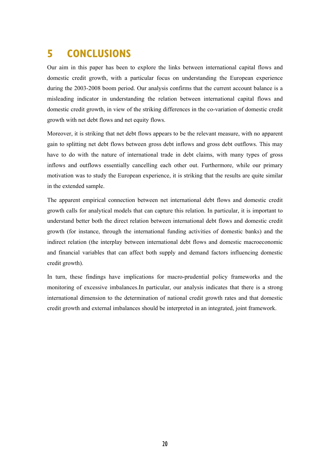# **5 CONCLUSIONS**

Our aim in this paper has been to explore the links between international capital flows and domestic credit growth, with a particular focus on understanding the European experience during the 2003-2008 boom period. Our analysis confirms that the current account balance is a misleading indicator in understanding the relation between international capital flows and domestic credit growth, in view of the striking differences in the co-variation of domestic credit growth with net debt flows and net equity flows.

Moreover, it is striking that net debt flows appears to be the relevant measure, with no apparent gain to splitting net debt flows between gross debt inflows and gross debt outflows. This may have to do with the nature of international trade in debt claims, with many types of gross inflows and outflows essentially cancelling each other out. Furthermore, while our primary motivation was to study the European experience, it is striking that the results are quite similar in the extended sample.

The apparent empirical connection between net international debt flows and domestic credit growth calls for analytical models that can capture this relation. In particular, it is important to understand better both the direct relation between international debt flows and domestic credit growth (for instance, through the international funding activities of domestic banks) and the indirect relation (the interplay between international debt flows and domestic macroeconomic and financial variables that can affect both supply and demand factors influencing domestic credit growth).

In turn, these findings have implications for macro-prudential policy frameworks and the monitoring of excessive imbalances.In particular, our analysis indicates that there is a strong international dimension to the determination of national credit growth rates and that domestic credit growth and external imbalances should be interpreted in an integrated, joint framework.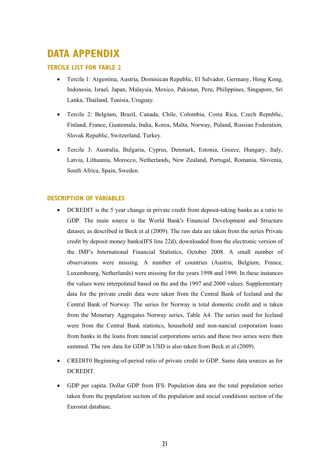# **DATA APPENDIX**

### **TERCILE LIST FOR TABLE 2**

- Tercile 1: Argentina, Austria, Dominican Republic, El Salvador, Germany, Hong Kong, Indonesia, Israel, Japan, Malaysia, Mexico, Pakistan, Peru, Philippines, Singapore, Sri Lanka, Thailand, Tunisia, Uruguay.
- Tercile 2: Belgium, Brazil, Canada, Chile, Colombia, Costa Rica, Czech Republic, Finland, France, Guatemala, India, Korea, Malta, Norway, Poland, Russian Federation, Slovak Republic, Switzerland, Turkey.
- Tercile 3: Australia, Bulgaria, Cyprus, Denmark, Estonia, Greece, Hungary, Italy, Latvia, Lithuania, Morocco, Netherlands, New Zealand, Portugal, Romania, Slovenia, South Africa, Spain, Sweden.

### **DESCRIPTION OF VARIABLES**

- DCREDIT is the 5 year change in private credit from deposit-taking banks as a ratio to GDP. The main source is the World Bank's Financial Development and Structure dataset, as described in Beck et al (2009). The raw data are taken from the series Private credit by deposit money banks(IFS line 22d), downloaded from the electronic version of the IMF's International Financial Statistics, October 2008. A small number of observations were missing. A number of countries (Austria, Belgium, France, Luxembourg, Netherlands) were missing for the years 1998 and 1999. In these instances the values were interpolated based on the and the 1997 and 2000 values. Supplementary data for the private credit data were taken from the Central Bank of Iceland and the Central Bank of Norway. The series for Norway is total domestic credit and is taken from the Monetary Aggregates Norway series, Table A4. The series used for Iceland were from the Central Bank statistics, household and non-nancial corporation loans from banks in the loans from nancial corporations series and these two series were then summed. The raw data for GDP in USD is also taken from Beck et al (2009).
- CREDIT0 Beginning-of-period ratio of private credit to GDP. Same data sources as for DCREDIT.
- GDP per capita. Dollar GDP from IFS. Population data are the total population series taken from the population section of the population and social conditions section of the Eurostat database.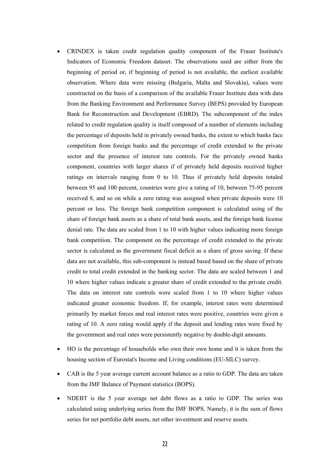- CRINDEX is taken credit regulation quality component of the Fraser Institute's Indicators of Economic Freedom dataset. The observations used are either from the beginning of period or, if beginning of period is not available, the earliest available observation. Where data were missing (Bulgaria, Malta and Slovakia), values were constructed on the basis of a comparison of the available Fraser Institute data with data from the Banking Environment and Performance Survey (BEPS) provided by European Bank for Reconstruction and Development (EBRD). The subcomponent of the index related to credit regulation quality is itself composed of a number of elements including the percentage of deposits held in privately owned banks, the extent to which banks face competition from foreign banks and the percentage of credit extended to the private sector and the presence of interest rate controls. For the privately owned banks component, countries with larger shares if of privately held deposits received higher ratings on intervals ranging from 0 to 10. Thus if privately held deposits totaled between 95 and 100 percent, countries were give a rating of 10, between 75-95 percent received 8, and so on while a zero rating was assigned when private deposits were 10 percent or less. The foreign bank competition component is calculated using of the share of foreign bank assets as a share of total bank assets, and the foreign bank license denial rate. The data are scaled from 1 to 10 with higher values indicating more foreign bank competition. The component on the percentage of credit extended to the private sector is calculated as the government fiscal deficit as a share of gross saving. If these data are not available, this sub-component is instead based based on the share of private credit to total credit extended in the banking sector. The data are scaled between 1 and 10 where higher values indicate a greater share of credit extended to the private credit. The data on interest rate controls were scaled from 1 to 10 where higher values indicated greater economic freedom. If, for example, interest rates were determined primarily by market forces and real interest rates were positive, countries were given a rating of 10. A zero rating would apply if the deposit and lending rates were fixed by the government and real rates were persistently negative by double-digit amounts.
- HO is the percentage of households who own their own home and it is taken from the housing section of Eurostat's Income and Living conditions (EU-SILC) survey.
- CAB is the 5 year average current account balance as a ratio to GDP. The data are taken from the IMF Balance of Payment statistics (BOPS).
- NDEBT is the 5 year average net debt flows as a ratio to GDP. The series was calculated using underlying series from the IMF BOPS. Namely, it is the sum of flows series for net portfolio debt assets, net other investment and reserve assets.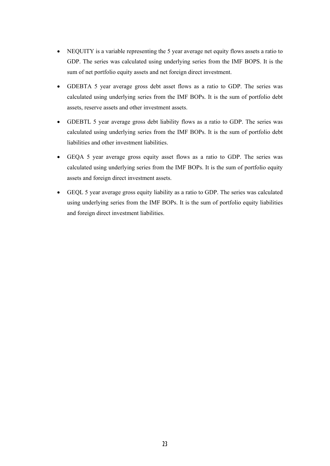- NEQUITY is a variable representing the 5 year average net equity flows assets a ratio to GDP. The series was calculated using underlying series from the IMF BOPS. It is the sum of net portfolio equity assets and net foreign direct investment.
- GDEBTA 5 year average gross debt asset flows as a ratio to GDP. The series was calculated using underlying series from the IMF BOPs. It is the sum of portfolio debt assets, reserve assets and other investment assets.
- GDEBTL 5 year average gross debt liability flows as a ratio to GDP. The series was calculated using underlying series from the IMF BOPs. It is the sum of portfolio debt liabilities and other investment liabilities.
- GEQA 5 year average gross equity asset flows as a ratio to GDP. The series was calculated using underlying series from the IMF BOPs. It is the sum of portfolio equity assets and foreign direct investment assets.
- GEQL 5 year average gross equity liability as a ratio to GDP. The series was calculated using underlying series from the IMF BOPs. It is the sum of portfolio equity liabilities and foreign direct investment liabilities.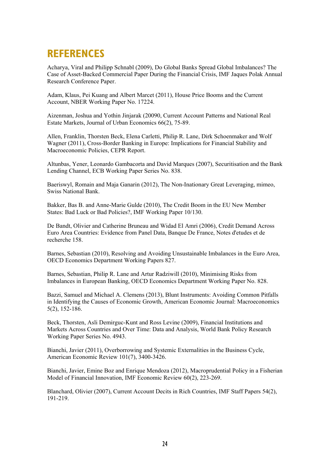# **REFERENCES**

Acharya, Viral and Philipp Schnabl (2009), Do Global Banks Spread Global Imbalances? The Case of Asset-Backed Commercial Paper During the Financial Crisis, IMF Jaques Polak Annual Research Conference Paper.

Adam, Klaus, Pei Kuang and Albert Marcet (2011), House Price Booms and the Current Account, NBER Working Paper No. 17224.

Aizenman, Joshua and Yothin Jinjarak (20090, Current Account Patterns and National Real Estate Markets, Journal of Urban Economics 66(2), 75-89.

Allen, Franklin, Thorsten Beck, Elena Carletti, Philip R. Lane, Dirk Schoenmaker and Wolf Wagner (2011), Cross-Border Banking in Europe: Implications for Financial Stability and Macroeconomic Policies, CEPR Report.

Altunbas, Yener, Leonardo Gambacorta and David Marques (2007), Securitisation and the Bank Lending Channel, ECB Working Paper Series No. 838.

Baeriswyl, Romain and Maja Ganarin (2012), The Non-Inationary Great Leveraging, mimeo, Swiss National Bank.

Bakker, Bas B. and Anne-Marie Gulde (2010), The Credit Boom in the EU New Member States: Bad Luck or Bad Policies?, IMF Working Paper 10/130.

De Bandt, Olivier and Catherine Bruneau and Widad El Amri (2006), Credit Demand Across Euro Area Countries: Evidence from Panel Data, Banque De France, Notes d'etudes et de recherche 158.

Barnes, Sebastian (2010), Resolving and Avoiding Unsustainable Imbalances in the Euro Area, OECD Economics Department Working Papers 827.

Barnes, Sebastian, Philip R. Lane and Artur Radziwill (2010), Minimising Risks from Imbalances in European Banking, OECD Economics Department Working Paper No. 828.

Bazzi, Samuel and Michael A. Clemens (2013), Blunt Instruments: Avoiding Common Pitfalls in Identifying the Causes of Economic Growth, American Economic Journal: Macroeconomics 5(2), 152-186.

Beck, Thorsten, Asli Demirguc-Kunt and Ross Levine (2009), Financial Institutions and Markets Across Countries and Over Time: Data and Analysis, World Bank Policy Research Working Paper Series No. 4943.

Bianchi, Javier (2011), Overborrowing and Systemic Externalities in the Business Cycle, American Economic Review 101(7), 3400-3426.

Bianchi, Javier, Emine Boz and Enrique Mendoza (2012), Macroprudential Policy in a Fisherian Model of Financial Innovation, IMF Economic Review 60(2), 223-269.

Blanchard, Olivier (2007), Current Account Decits in Rich Countries, IMF Staff Papers 54(2), 191-219.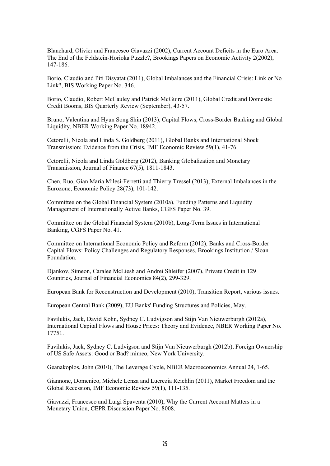Blanchard, Olivier and Francesco Giavazzi (2002), Current Account Deficits in the Euro Area: The End of the Feldstein-Horioka Puzzle?, Brookings Papers on Economic Activity 2(2002), 147-186.

Borio, Claudio and Piti Disyatat (2011), Global Imbalances and the Financial Crisis: Link or No Link?, BIS Working Paper No. 346.

Borio, Claudio, Robert McCauley and Patrick McGuire (2011), Global Credit and Domestic Credit Booms, BIS Quarterly Review (September), 43-57.

Bruno, Valentina and Hyun Song Shin (2013), Capital Flows, Cross-Border Banking and Global Liquidity, NBER Working Paper No. 18942.

Cetorelli, Nicola and Linda S. Goldberg (2011), Global Banks and International Shock Transmission: Evidence from the Crisis, IMF Economic Review 59(1), 41-76.

Cetorelli, Nicola and Linda Goldberg (2012), Banking Globalization and Monetary Transmission, Journal of Finance 67(5), 1811-1843.

Chen, Ruo, Gian Maria Milesi-Ferretti and Thierry Tressel (2013), External Imbalances in the Eurozone, Economic Policy 28(73), 101-142.

Committee on the Global Financial System (2010a), Funding Patterns and Liquidity Management of Internationally Active Banks, CGFS Paper No. 39.

Committee on the Global Financial System (2010b), Long-Term Issues in International Banking, CGFS Paper No. 41.

Committee on International Economic Policy and Reform (2012), Banks and Cross-Border Capital Flows: Policy Challenges and Regulatory Responses, Brookings Institution / Sloan Foundation.

Djankov, Simeon, Caralee McLiesh and Andrei Shleifer (2007), Private Credit in 129 Countries, Journal of Financial Economics 84(2), 299-329.

European Bank for Reconstruction and Development (2010), Transition Report, various issues.

European Central Bank (2009), EU Banks' Funding Structures and Policies, May.

Favilukis, Jack, David Kohn, Sydney C. Ludvigson and Stijn Van Nieuwerburgh (2012a), International Capital Flows and House Prices: Theory and Evidence, NBER Working Paper No. 17751.

Favilukis, Jack, Sydney C. Ludvigson and Stijn Van Nieuwerburgh (2012b), Foreign Ownership of US Safe Assets: Good or Bad? mimeo, New York University.

Geanakoplos, John (2010), The Leverage Cycle, NBER Macroeconomics Annual 24, 1-65.

Giannone, Domenico, Michele Lenza and Lucrezia Reichlin (2011), Market Freedom and the Global Recession, IMF Economic Review 59(1), 111-135.

Giavazzi, Francesco and Luigi Spaventa (2010), Why the Current Account Matters in a Monetary Union, CEPR Discussion Paper No. 8008.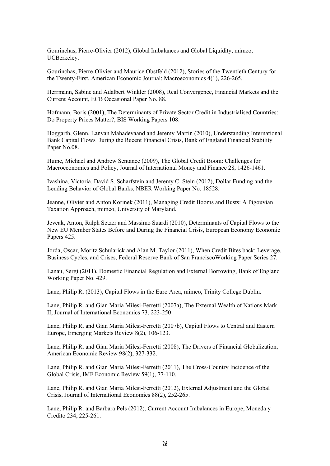Gourinchas, Pierre-Olivier (2012), Global Imbalances and Global Liquidity, mimeo, UCBerkeley.

Gourinchas, Pierre-Olivier and Maurice Obstfeld (2012), Stories of the Twentieth Century for the Twenty-First, American Economic Journal: Macroeconomics 4(1), 226-265.

Herrmann, Sabine and Adalbert Winkler (2008), Real Convergence, Financial Markets and the Current Account, ECB Occasional Paper No. 88.

Hofmann, Boris (2001), The Determinants of Private Sector Credit in Industrialised Countries: Do Property Prices Matter?, BIS Working Papers 108.

Hoggarth, Glenn, Lanvan Mahadevaand and Jeremy Martin (2010), Understanding International Bank Capital Flows During the Recent Financial Crisis, Bank of England Financial Stability Paper No.08.

Hume, Michael and Andrew Sentance (2009), The Global Credit Boom: Challenges for Macroeconomics and Policy, Journal of International Money and Finance 28, 1426-1461.

Ivashina, Victoria, David S. Scharfstein and Jeremy C. Stein (2012), Dollar Funding and the Lending Behavior of Global Banks, NBER Working Paper No. 18528.

Jeanne, Olivier and Anton Korinek (2011), Managing Credit Booms and Busts: A Pigouvian Taxation Approach, mimeo, University of Maryland.

Jevcak, Anton, Ralph Setzer and Massimo Suardi (2010), Determinants of Capital Flows to the New EU Member States Before and During the Financial Crisis, European Economy Economic Papers 425.

Jorda, Oscar, Moritz Schularick and Alan M. Taylor (2011), When Credit Bites back: Leverage, Business Cycles, and Crises, Federal Reserve Bank of San FranciscoWorking Paper Series 27.

Lanau, Sergi (2011), Domestic Financial Regulation and External Borrowing, Bank of England Working Paper No. 429.

Lane, Philip R. (2013), Capital Flows in the Euro Area, mimeo, Trinity College Dublin.

Lane, Philip R. and Gian Maria Milesi-Ferretti (2007a), The External Wealth of Nations Mark II, Journal of International Economics 73, 223-250

Lane, Philip R. and Gian Maria Milesi-Ferretti (2007b), Capital Flows to Central and Eastern Europe, Emerging Markets Review 8(2), 106-123.

Lane, Philip R. and Gian Maria Milesi-Ferretti (2008), The Drivers of Financial Globalization, American Economic Review 98(2), 327-332.

Lane, Philip R. and Gian Maria Milesi-Ferretti (2011), The Cross-Country Incidence of the Global Crisis, IMF Economic Review 59(1), 77-110.

Lane, Philip R. and Gian Maria Milesi-Ferretti (2012), External Adjustment and the Global Crisis, Journal of International Economics 88(2), 252-265.

Lane, Philip R. and Barbara Pels (2012), Current Account Imbalances in Europe, Moneda y Credito 234, 225-261.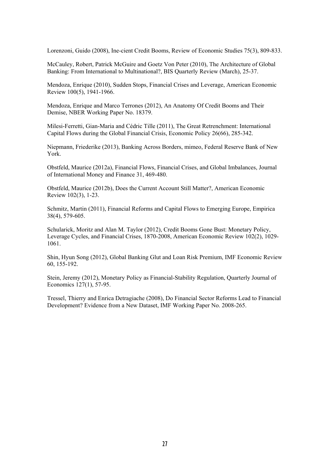Lorenzoni, Guido (2008), Ine-cient Credit Booms, Review of Economic Studies 75(3), 809-833.

McCauley, Robert, Patrick McGuire and Goetz Von Peter (2010), The Architecture of Global Banking: From International to Multinational?, BIS Quarterly Review (March), 25-37.

Mendoza, Enrique (2010), Sudden Stops, Financial Crises and Leverage, American Economic Review 100(5), 1941-1966.

Mendoza, Enrique and Marco Terrones (2012), An Anatomy Of Credit Booms and Their Demise, NBER Working Paper No. 18379.

Milesi-Ferretti, Gian-Maria and Cédric Tille (2011), The Great Retrenchment: International Capital Flows during the Global Financial Crisis, Economic Policy 26(66), 285-342.

Niepmann, Friederike (2013), Banking Across Borders, mimeo, Federal Reserve Bank of New York.

Obstfeld, Maurice (2012a), Financial Flows, Financial Crises, and Global Imbalances, Journal of International Money and Finance 31, 469-480.

Obstfeld, Maurice (2012b), Does the Current Account Still Matter?, American Economic Review 102(3), 1-23.

Schmitz, Martin (2011), Financial Reforms and Capital Flows to Emerging Europe, Empirica 38(4), 579-605.

Schularick, Moritz and Alan M. Taylor (2012), Credit Booms Gone Bust: Monetary Policy, Leverage Cycles, and Financial Crises, 1870-2008, American Economic Review 102(2), 1029- 1061.

Shin, Hyun Song (2012), Global Banking Glut and Loan Risk Premium, IMF Economic Review 60, 155-192.

Stein, Jeremy (2012), Monetary Policy as Financial-Stability Regulation, Quarterly Journal of Economics 127(1), 57-95.

Tressel, Thierry and Enrica Detragiache (2008), Do Financial Sector Reforms Lead to Financial Development? Evidence from a New Dataset, IMF Working Paper No. 2008-265.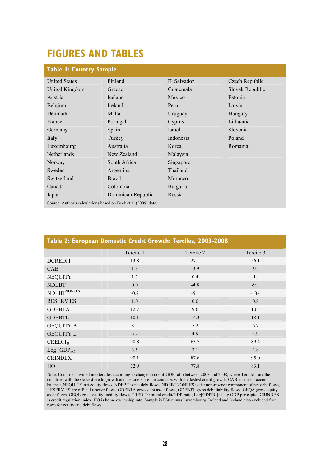# **FIGURES AND TABLES**

| <b>Table I: Country Sample</b>                                 |                    |               |                 |  |  |  |  |  |  |
|----------------------------------------------------------------|--------------------|---------------|-----------------|--|--|--|--|--|--|
| <b>United States</b>                                           | Finland            | El Salvador   | Czech Republic  |  |  |  |  |  |  |
| United Kingdom                                                 | Greece             | Guatemala     | Slovak Republic |  |  |  |  |  |  |
| Austria                                                        | <b>Iceland</b>     | Mexico        | Estonia         |  |  |  |  |  |  |
| Belgium                                                        | <b>Ireland</b>     | Peru          | Latvia          |  |  |  |  |  |  |
| Denmark                                                        | Malta              | Uruguay       | Hungary         |  |  |  |  |  |  |
| France                                                         | Portugal           | Cyprus        | Lithuania       |  |  |  |  |  |  |
| Germany                                                        | Spain              | <b>Israel</b> | Slovenia        |  |  |  |  |  |  |
| Italy                                                          | Turkey             | Indonesia     | Poland          |  |  |  |  |  |  |
| Luxembourg                                                     | Australia          | Korea         | Romania         |  |  |  |  |  |  |
| <b>Netherlands</b>                                             | New Zealand        | Malaysia      |                 |  |  |  |  |  |  |
| Norway                                                         | South Africa       | Singapore     |                 |  |  |  |  |  |  |
| Sweden                                                         | Argentina          | Thailand      |                 |  |  |  |  |  |  |
| Switzerland                                                    | <b>Brazil</b>      | Morocco       |                 |  |  |  |  |  |  |
| Canada                                                         | Colombia           | Bulgaria      |                 |  |  |  |  |  |  |
| Japan                                                          | Dominican Republic | Russia        |                 |  |  |  |  |  |  |
| Source: Author's calculations based on Beck et al (2009) data. |                    |               |                 |  |  |  |  |  |  |

| Table 2: European Domestic Credit Growth: Terciles, 2003-2008 |           |           |           |  |  |  |  |  |  |  |
|---------------------------------------------------------------|-----------|-----------|-----------|--|--|--|--|--|--|--|
|                                                               | Tercile 1 | Tercile 2 | Tercile 3 |  |  |  |  |  |  |  |
| <b>DCREDIT</b>                                                | 13.8      | 27.1      | 56.1      |  |  |  |  |  |  |  |
| CAB                                                           | 1.3       | $-3.9$    | $-9.1$    |  |  |  |  |  |  |  |
| <b>NEQUITY</b>                                                | 1.5       | 0.4       | $-1.1$    |  |  |  |  |  |  |  |
| <b>NDEBT</b>                                                  | 0.0       | $-4.8$    | $-9.1$    |  |  |  |  |  |  |  |
| NDEBT <sup>NONRES</sup>                                       | $-0.2$    | $-5.1$    | $-10.4$   |  |  |  |  |  |  |  |
| <b>RESERVES</b>                                               | 1.0       | 0.0       | 0.8       |  |  |  |  |  |  |  |
| <b>GDEBTA</b>                                                 | 12.7      | 9.6       | 10.4      |  |  |  |  |  |  |  |
| <b>GDEBTL</b>                                                 | 10.1      | 14.3      | 18.1      |  |  |  |  |  |  |  |
| <b>GEQUITY A</b>                                              | 3.7       | 5.2       | 6.7       |  |  |  |  |  |  |  |
| <b>GEQUITY L</b>                                              | 5.2       | 4.9       | 5.9       |  |  |  |  |  |  |  |
| $CREDIT_0$                                                    | 90.8      | 63.7      | 89.4      |  |  |  |  |  |  |  |
| $Log [GDP_{PC}]$                                              | 3.5       | 3.1       | 2.8       |  |  |  |  |  |  |  |
| <b>CRINDEX</b>                                                | 90.1      | 87.6      | 95.0      |  |  |  |  |  |  |  |
| HO                                                            | 72.9      | 77.8      | 83.1      |  |  |  |  |  |  |  |

Note: Countries divided into terciles according to change in credit-GDP ratio between 2003 and 2008, where Tercile 1 are the countries with the slowest credit growth and Tercile 3 are the countries with the fastest credit growth. CAB is current account balance, NEQUITY net equity flows, NDEBT is net debt flows, NDEBTNONRES is the non-reserve component of net debt flows, RESERV ES are official reserve flows, GDEBTA gross debt asset flows, GDEBTL gross debt liability flows, GEQA gross equity asset flows, GEQL gross equity liability flows, CREDIT0 initial credit/GDP ratio, Log[GDPPC] is log GDP per capita, CRINDEX is credit regulation index, HO is home ownership rate. Sample is E30 minus Luxembourg. Ireland and Iceland also excluded from rows for equity and debt flows.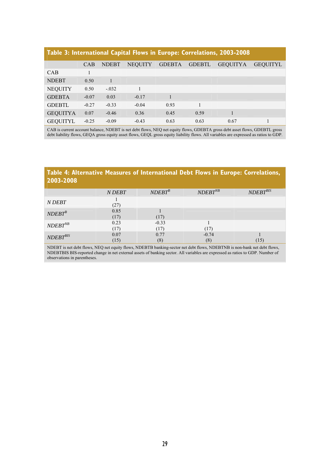### **Table 3: International Capital Flows in Europe: Correlations, 2003-2008**

|                 | <b>CAB</b> | <b>NDEBT</b> | <b>NEQUITY</b> | <b>GDEBTA</b> | <b>GDEBTL</b> | <b>GEQUITYA</b> | <b>GEOUITYL</b> |
|-----------------|------------|--------------|----------------|---------------|---------------|-----------------|-----------------|
| <b>CAB</b>      |            |              |                |               |               |                 |                 |
| <b>NDEBT</b>    | 0.50       |              |                |               |               |                 |                 |
| <b>NEQUITY</b>  | 0.50       | $-.032$      |                |               |               |                 |                 |
| <b>GDEBTA</b>   | $-0.07$    | 0.03         | $-0.17$        |               |               |                 |                 |
| <b>GDEBTL</b>   | $-0.27$    | $-0.33$      | $-0.04$        | 0.93          |               |                 |                 |
| <b>GEQUITYA</b> | 0.07       | $-0.46$      | 0.36           | 0.45          | 0.59          |                 |                 |
| <b>GEQUITYL</b> | $-0.25$    | $-0.09$      | $-0.43$        | 0.63          | 0.63          | 0.67            |                 |

CAB is current account balance, NDEBT is net debt flows, NEQ net equity flows, GDEBTA gross debt asset flows, GDEBTL gross debt liability flows, GEQA gross equity asset flows, GEQL gross equity liability flows. All variables are expressed as ratios to GDP.

### **Table 4: Alternative Measures of International Debt Flows in Europe: Correlations, 2003-2008**

|               | N DEBT       | $NDEBT^B$       | $NDEBT^{NB}$   | $NDEBT^{BIS}$ |
|---------------|--------------|-----------------|----------------|---------------|
| N DEBT        | (27)         |                 |                |               |
| $NDEBT^B$     | 0.85<br>(17) | (17)            |                |               |
| $NDEBT^{NB}$  | 0.23<br>(17) | $-0.33$<br>(17) | (17)           |               |
| $NDEBT^{BIS}$ | 0.07<br>(15) | 0.77<br>(8)     | $-0.74$<br>(8) | (15)          |

NDEBT is net debt flows, NEQ net equity flows, NDEBTB banking-sector net debt flows, NDEBTNB is non-bank net debt flows, NDEBTBIS BIS-reported change in net external assets of banking sector. All variables are expressed as ratios to GDP. Number of observations in parentheses.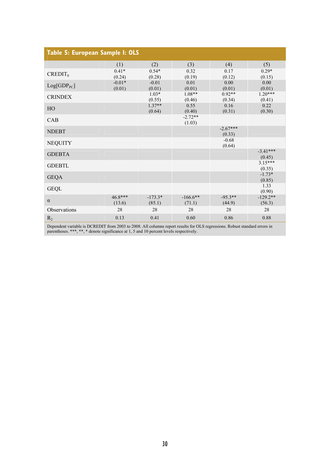| Table 5: European Sample I: OLS |                    |                     |                      |                      |                      |
|---------------------------------|--------------------|---------------------|----------------------|----------------------|----------------------|
|                                 | (1)                | (2)                 | (3)                  | (4)                  | (5)                  |
| $CREDIT_0$                      | $0.41*$<br>(0.24)  | $0.54*$<br>(0.28)   | 0.32<br>(0.19)       | 0.17<br>(0.12)       | $0.29*$<br>(0.15)    |
| $Log[GDP_{PC}]$                 | $-0.01*$<br>(0.01) | $-0.01$<br>(0.01)   | 0.01<br>(0.01)       | 0.00<br>(0.01)       | 0.00<br>(0.01)       |
| <b>CRINDEX</b>                  |                    | $1.03*$<br>(0.55)   | $1.08**$<br>(0.46)   | $0.92**$<br>(0.34)   | $1.20***$<br>(0.41)  |
| HO                              |                    | $1.37**$<br>(0.64)  | 0.55<br>(0.40)       | 0.16<br>(0.31)       | 0.22<br>(0.30)       |
| CAB                             |                    |                     | $-2.72**$<br>(1.03)  |                      |                      |
| <b>NDEBT</b>                    |                    |                     |                      | $-2.67***$<br>(0.33) |                      |
| <b>NEQUITY</b>                  |                    |                     |                      | $-0.68$<br>(0.64)    |                      |
| <b>GDEBTA</b>                   |                    |                     |                      |                      | $-3.41***$<br>(0.45) |
| <b>GDEBTL</b>                   |                    |                     |                      |                      | $3.15***$<br>(0.35)  |
| <b>GEQA</b>                     |                    |                     |                      |                      | $-1.73*$<br>(0.85)   |
| <b>GEQL</b>                     |                    |                     |                      |                      | 1.33<br>(0.90)       |
| $\alpha$                        | 46.8***<br>(13.6)  | $-173.3*$<br>(85.1) | $-166.6**$<br>(71.1) | $-95.3**$<br>(44.9)  | $-129.2**$<br>(56.3) |
| Observations                    | 28                 | 28                  | 28                   | 28                   | 28                   |
| $R_2$                           | 0.13               | 0.41                | 0.60                 | 0.86                 | 0.88                 |

Dependent variable is DCREDIT from 2003 to 2008. All columns report results for OLS regressions. Robust standard errors in parentheses. \*\*\*, \*\*, \* denote significance at 1, 5 and 10 percent levels respectively.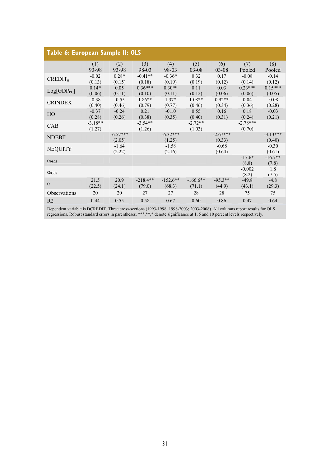| Table 6: European Sample II: OLS |                     |                      |                      |                      |                      |                      |                      |                      |  |
|----------------------------------|---------------------|----------------------|----------------------|----------------------|----------------------|----------------------|----------------------|----------------------|--|
|                                  | (1)<br>93-98        | (2)<br>93-98         | (3)<br>98-03         | (4)<br>98-03         | (5)<br>$03 - 08$     | (6)<br>$03 - 08$     | (7)<br>Pooled        | (8)<br>Pooled        |  |
| $CREDIT_0$                       | $-0.02$<br>(0.13)   | $0.28*$<br>(0.15)    | $-0.41**$<br>(0.18)  | $-0.36*$<br>(0.19)   | 0.32<br>(0.19)       | 0.17<br>(0.12)       | $-0.08$<br>(0.14)    | $-0.14$<br>(0.12)    |  |
| $Log[GDP_{PC}]$                  | $0.14*$<br>(0.06)   | 0.05<br>(0.11)       | $0.36***$<br>(0.10)  | $0.30**$<br>(0.11)   | 0.11<br>(0.12)       | 0.03<br>(0.06)       | $0.23***$<br>(0.06)  | $0.15***$<br>(0.05)  |  |
| <b>CRINDEX</b>                   | $-0.38$<br>(0.40)   | $-0.55$<br>(0.46)    | 1.86**<br>(0.79)     | $1.37*$<br>(0.77)    | $1.08**$<br>(0.46)   | $0.92**$<br>(0.34)   | 0.04<br>(0.36)       | $-0.08$<br>(0.28)    |  |
| HO                               | $-0.37$<br>(0.28)   | $-0.24$<br>(0.26)    | 0.21<br>(0.38)       | $-0.10$<br>(0.35)    | 0.55<br>(0.40)       | 0.16<br>(0.31)       | 0.18<br>(0.24)       | $-0.03$<br>(0.21)    |  |
| CAB                              | $-3.18**$<br>(1.27) |                      | $-3.54**$<br>(1.26)  |                      | $-2.72**$<br>(1.03)  |                      | $-2.78***$<br>(0.70) |                      |  |
| <b>NDEBT</b>                     |                     | $-6.57***$<br>(2.05) |                      | $-6.32***$<br>(1.25) |                      | $-2.67***$<br>(0.33) |                      | $-3.13***$<br>(0.40) |  |
| <b>NEQUITY</b>                   |                     | $-1.64$<br>(2.22)    |                      | $-1.58$<br>(2.16)    |                      | $-0.68$<br>(0.64)    |                      | $-0.30$<br>(0.61)    |  |
| $\alpha_{9803}$                  |                     |                      |                      |                      |                      |                      | $-17.6*$<br>(8.8)    | $-16.7**$<br>(7.8)   |  |
| $\alpha_{0308}$                  |                     |                      |                      |                      |                      |                      | $-0.002$<br>(8.2)    | 1.8<br>(7.5)         |  |
| $\alpha$                         | 21.5<br>(22.5)      | 20.9<br>(24.1)       | $-218.4**$<br>(79.0) | $-152.6**$<br>(68.3) | $-166.6**$<br>(71.1) | $-95.3**$<br>(44.9)  | $-49.8$<br>(43.1)    | $-4.8$<br>(29.3)     |  |
| Observations                     | 20                  | 20                   | 27                   | 27                   | 28                   | 28                   | 75                   | 75                   |  |
| R <sub>2</sub>                   | 0.44                | 0.55                 | 0.58                 | 0.67                 | 0.60                 | 0.86                 | 0.47                 | 0.64                 |  |

Dependent variable is DCREDIT. Three cross-sections (1993-1998; 1998-2003; 2003-2008). All columns report results for OLS regressions. Robust standard errors in parentheses. \*\*\*,\*\*,\* denote significance at 1, 5 and 10 percent levels respectively.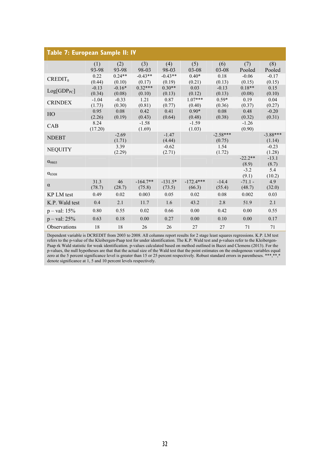| Table 7: European Sample II: IV |                   |                    |                      |                     |                       |                      |                     |                      |
|---------------------------------|-------------------|--------------------|----------------------|---------------------|-----------------------|----------------------|---------------------|----------------------|
|                                 | (1)<br>93-98      | (2)<br>93-98       | (3)<br>98-03         | (4)<br>98-03        | (5)<br>03-08          | (6)<br>$03 - 08$     | (7)<br>Pooled       | (8)<br>Pooled        |
| $CREDIT_0$                      | 0.22<br>(0.44)    | $0.24**$<br>(0.10) | $-0.43**$<br>(0.17)  | $-0.43**$<br>(0.19) | $0.40*$<br>(0.21)     | 0.18<br>(0.13)       | $-0.06$<br>(0.15)   | $-0.17$<br>(0.15)    |
| $Log[GDP_{PC}]$                 | $-0.13$<br>(0.34) | $-0.16*$<br>(0.08) | $0.32***$<br>(0.10)  | $0.30**$<br>(0.13)  | 0.03<br>(0.12)        | $-0.13$<br>(0.13)    | $0.18**$<br>(0.08)  | 0.15<br>(0.10)       |
| <b>CRINDEX</b>                  | $-1.04$<br>(1.73) | $-0.33$<br>(0.30)  | 1.21<br>(0.81)       | 0.87<br>(0.77)      | $1.07***$<br>(0.40)   | $0.59*$<br>(0.36)    | 0.19<br>(0.37)      | 0.04<br>(0.27)       |
| HO                              | 0.95<br>(2.26)    | 0.08<br>(0.19)     | 0.42<br>(0.43)       | 0.41<br>(0.64)      | $0.90*$<br>(0.48)     | 0.08<br>(0.38)       | 0.48<br>(0.32)      | $-0.20$<br>(0.31)    |
| CAB                             | 8.24<br>(17.20)   |                    | $-1.58$<br>(1.69)    |                     | $-1.59$<br>(1.03)     |                      | $-1.26$<br>(0.90)   |                      |
| <b>NDEBT</b>                    |                   | $-2.69$<br>(1.71)  |                      | $-1.47$<br>(4.44)   |                       | $-2.58***$<br>(0.75) |                     | $-3.88***$<br>(1.14) |
| <b>NEQUITY</b>                  |                   | 3.39<br>(2.29)     |                      | $-0.62$<br>(2.71)   |                       | 1.54<br>(1.72)       |                     | $-0.23$<br>(1.28)    |
| $\alpha_{9803}$                 |                   |                    |                      |                     |                       |                      | $-22.2**$<br>(8.9)  | $-13.1$<br>(8.7)     |
| $\alpha_{0308}$                 |                   |                    |                      |                     |                       |                      | $-3.2$<br>(9.1)     | 5.4<br>(10.2)        |
| $\alpha$                        | 31.3<br>(78.7)    | 46<br>(28.7)       | $-164.7**$<br>(75.8) | $-131.5*$<br>(73.5) | $-172.4***$<br>(66.3) | $-14.4$<br>(55.4)    | $-71.1 -$<br>(48.7) | 4.9<br>(32.0)        |
| KP LM test                      | 0.49              | 0.02               | 0.003                | 0.05                | 0.02                  | 0.08                 | 0.002               | 0.03                 |
| K.P. Wald test                  | 0.4               | 2.1                | 11.7                 | 1.6                 | 43.2                  | 2.8                  | 51.9                | 2.1                  |
| $p - val: 15%$                  | 0.80              | 0.55               | 0.02                 | 0.66                | 0.00                  | 0.42                 | 0.00                | 0.55                 |
| $p - val: 25%$                  | 0.63              | 0.18               | 0.00                 | 0.27                | 0.00                  | 0.10                 | 0.00                | 0.17                 |
| Observations                    | 18                | 18                 | 26                   | 26                  | 27                    | 27                   | 71                  | 71                   |

Dependent variable is DCREDIT from 2003 to 2008. All columns report results for 2 stage least squares regressions. K.P. LM test refers to the p-value of the Kleibergen-Paap test for under identification. The K.P. Wald test and p-values refer to the Kleibergen-Paap rk Wald statistic for weak identification. p-values calculated based on method outlined in Bazzi and Clemens (2013). For the p-values, the null hypotheses are that that the actual size of the Wald test that the point estimates on the endogenous variables equal zero at the 5 percent significance level is greater than 15 or 25 percent respectively. Robust standard errors in parentheses. \*\*\*,\*\*,\* denote significance at 1, 5 and 10 percent levels respectively.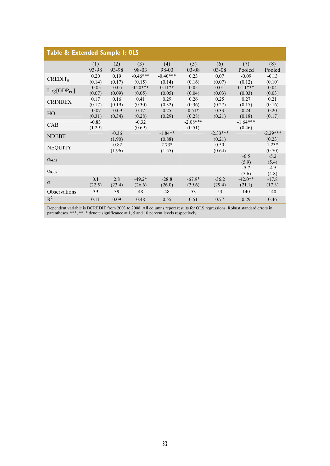| Table 8: Extended Sample I: OLS |         |         |            |            |            |            |            |            |  |  |
|---------------------------------|---------|---------|------------|------------|------------|------------|------------|------------|--|--|
|                                 | (1)     | (2)     | (3)        | (4)        | (5)        | (6)        | (7)        | (8)        |  |  |
|                                 | 93-98   | 93-98   | 98-03      | 98-03      | $03-08$    | $03-08$    | Pooled     | Pooled     |  |  |
| $CREDIT_0$                      | 0.20    | 0.19    | $-0.46***$ | $-0.40***$ | 0.23       | 0.07       | $-0.09$    | $-0.13$    |  |  |
|                                 | (0.14)  | (0.17)  | (0.15)     | (0.14)     | (0.16)     | (0.07)     | (0.12)     | (0.10)     |  |  |
| $Log[GDP_{PC}]$                 | $-0.05$ | $-0.05$ | $0.20***$  | $0.11**$   | 0.05       | 0.01       | $0.11***$  | 0.04       |  |  |
|                                 | (0.07)  | (0.09)  | (0.05)     | (0.05)     | (0.04)     | (0.03)     | (0.03)     | (0.03)     |  |  |
| <b>CRINDEX</b>                  | 0.17    | 0.16    | 0.41       | 0.29       | 0.26       | 0.25       | 0.27       | 0.21       |  |  |
|                                 | (0.17)  | (0.19)  | (0.30)     | (0.32)     | (0.36)     | (0.27)     | (0.17)     | (0.16)     |  |  |
| HO                              | $-0.07$ | $-0.09$ | 0.17       | 0.25       | $0.51*$    | 0.33       | 0.24       | 0.20       |  |  |
|                                 | (0.31)  | (0.34)  | (0.28)     | (0.29)     | (0.28)     | (0.21)     | (0.18)     | (0.17)     |  |  |
| CAB                             | $-0.83$ |         | $-0.32$    |            | $-2.08***$ |            | $-1.64***$ |            |  |  |
|                                 | (1.29)  |         | (0.69)     |            | (0.51)     |            | (0.46)     |            |  |  |
| <b>NDEBT</b>                    |         | $-0.36$ |            | $-1.84**$  |            | $-2.33***$ |            | $-2.29***$ |  |  |
|                                 |         | (1.90)  |            | (0.88)     |            | (0.21)     |            | (0.23)     |  |  |
| <b>NEQUITY</b>                  |         | $-0.82$ |            | $2.73*$    |            | 0.50       |            | $1.23*$    |  |  |
|                                 |         | (1.96)  |            | (1.55)     |            | (0.64)     |            | (0.70)     |  |  |
| $\alpha$ <sub>9803</sub>        |         |         |            |            |            |            | $-6.5$     | $-5.2$     |  |  |
|                                 |         |         |            |            |            |            | (5.9)      | (5.4)      |  |  |
| $\alpha_{0308}$                 |         |         |            |            |            |            | $-5.7$     | $-4.5$     |  |  |
|                                 |         |         |            |            |            |            | (5.6)      | (4.8)      |  |  |
| $\alpha$                        | 0.1     | 2.8     | $-49.2*$   | $-28.8$    | $-67.9*$   | $-36.2$    | $-42.0**$  | $-17.8$    |  |  |
|                                 | (22.5)  | (23.4)  | (26.6)     | (26.0)     | (39.6)     | (29.4)     | (21.1)     | (17.3)     |  |  |
| Observations                    | 39      | 39      | 48         | 48         | 53         | 53         | 140        | 140        |  |  |
| $R^2$                           | 0.11    | 0.09    | 0.48       | 0.55       | 0.51       | 0.77       | 0.29       | 0.46       |  |  |

Dependent variable is DCREDIT from 2003 to 2008. All columns report results for OLS regressions. Robust standard errors in parentheses. \*\*\*, \*\*, \* denote significance at 1, 5 and 10 percent levels respectively.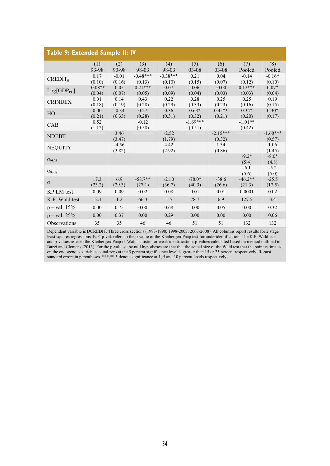| Table 9: Extended Sample II: IV |                     |                   |                      |                      |                      |                      |                     |                      |  |
|---------------------------------|---------------------|-------------------|----------------------|----------------------|----------------------|----------------------|---------------------|----------------------|--|
|                                 | (1)<br>93-98        | (2)<br>93-98      | (3)<br>98-03         | (4)<br>98-03         | (5)<br>$03 - 08$     | (6)<br>03-08         | (7)<br>Pooled       | (8)<br>Pooled        |  |
| $CREDIT_0$                      | 0.17<br>(0.10)      | $-0.01$<br>(0.16) | $-0.48***$<br>(0.13) | $-0.38***$<br>(0.10) | 0.21<br>(0.15)       | 0.04<br>(0.07)       | $-0.14$<br>(0.12)   | $-0.16*$<br>(0.10)   |  |
| $Log[GDP_{PC}]$                 | $-0.08**$<br>(0.04) | 0.05<br>(0.07)    | $0.21***$<br>(0.05)  | 0.07<br>(0.09)       | 0.06<br>(0.04)       | $-0.00$<br>(0.03)    | $0.12***$<br>(0.03) | $0.07*$<br>(0.04)    |  |
| <b>CRINDEX</b>                  | 0.01<br>(0.18)      | 0.14<br>(0.19)    | 0.43<br>(0.28)       | 0.22<br>(0.29)       | 0.28<br>(0.33)       | 0.25<br>(0.23)       | 0.25<br>(0.16)      | 0.19<br>(0.15)       |  |
| HO                              | 0.00<br>(0.21)      | $-0.34$<br>(0.33) | 0.27<br>(0.28)       | 0.36<br>(0.31)       | $0.63*$<br>(0.32)    | $0.45**$<br>(0.21)   | $0.34*$<br>(0.20)   | $0.30*$<br>(0.17)    |  |
| CAB                             | 0.52<br>(1.12)      |                   | $-0.12$<br>(0.58)    |                      | $-1.69***$<br>(0.51) |                      | $-1.01**$<br>(0.42) |                      |  |
| <b>NDEBT</b>                    |                     | 3.46<br>(3.47)    |                      | $-2.52$<br>(1.79)    |                      | $-2.15***$<br>(0.32) |                     | $-1.60***$<br>(0.57) |  |
| <b>NEQUITY</b>                  |                     | $-4.56$<br>(3.82) |                      | 4.42<br>(2.92)       |                      | 1.34<br>(0.86)       |                     | 1.06<br>(1.45)       |  |
| $\alpha_{9803}$                 |                     |                   |                      |                      |                      |                      | $-9.2*$<br>(5.4)    | $-8.0*$<br>(4.8)     |  |
| $\alpha_{0308}$                 |                     |                   |                      |                      |                      |                      | $-6.1$<br>(5.6)     | $-5.2$<br>(5.0)      |  |
| $\alpha$                        | 17.3<br>(23.2)      | 6.9<br>(29.3)     | $-58.7**$<br>(27.1)  | $-21.0$<br>(36.7)    | $-78.0*$<br>(40.3)   | $-38.6$<br>(26.6)    | $-46.2**$<br>(21.3) | $-25.5$<br>(17.5)    |  |
| KP LM test                      | 0.09                | 0.09              | 0.02                 | 0.08                 | 0.01                 | 0.01                 | 0.0001              | 0.02                 |  |
| K.P. Wald test                  | 12.1                | 1.2               | 66.3                 | 1.5                  | 78.7                 | 6.9                  | 127.5               | 3.4                  |  |
| $p - val: 15%$                  | 0.00                | 0.75              | 0.00                 | 0.68                 | 0.00                 | 0.05                 | 0.00                | 0.32                 |  |
| $p - val: 25%$                  | 0.00                | 0.37              | 0.00                 | 0.29                 | 0.00                 | 0.00                 | 0.00                | 0.06                 |  |
| <b>Observations</b>             | 35                  | 35                | 46                   | 46                   | 51                   | 51                   | 132                 | 132                  |  |

Dependent variable is DCREDIT. Three cross sections (1993-1998; 1998-2003; 2003-2008). All columns report results for 2 stage least squares regressions. K.P. p-val. refers to the p-value of the Kleibergen-Paap test for underidentification. The K.P. Wald test and p-values refer to the Kleibergen-Paap rk Wald statistic for weak identification. p-values calculated based on method outlined in Bazzi and Clemens (2013). For the p-values, the null hypotheses are that that the actual size of the Wald test that the point estimates on the endogenous variables equal zero at the 5 percent significance level is greater than 15 or 25 percent respectively. Robust standard errors in parentheses. \*\*\*,\*\*,\* denote significance at 1, 5 and 10 percent levels respectively.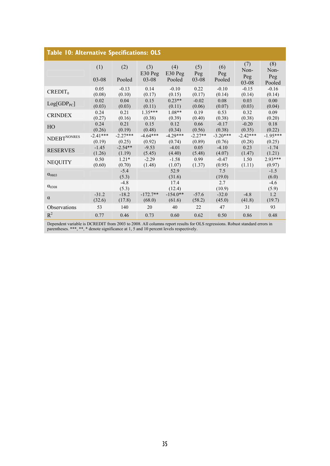| <b>Table 10: Alternative Specifications: OLS</b> |                  |                   |                               |                            |                     |                      |                                |                             |  |
|--------------------------------------------------|------------------|-------------------|-------------------------------|----------------------------|---------------------|----------------------|--------------------------------|-----------------------------|--|
|                                                  | (1)<br>$03 - 08$ | (2)<br>Pooled     | (3)<br>$E30$ Peg<br>$03 - 08$ | (4)<br>$E30$ Peg<br>Pooled | (5)<br>Peg<br>03-08 | (6)<br>Peg<br>Pooled | (7)<br>Non-<br>Peg             | (8)<br>Non-<br>Peg          |  |
| $CREDIT_0$                                       | 0.05<br>(0.08)   | $-0.13$<br>(0.10) | 0.14<br>(0.17)                | $-0.10$<br>(0.15)          | 0.22<br>(0.17)      | $-0.10$<br>(0.14)    | $03 - 08$<br>$-0.15$<br>(0.14) | Pooled<br>$-0.16$<br>(0.14) |  |
| $Log[GDP_{PC}]$                                  | 0.02             | 0.04              | 0.15                          | $0.23**$                   | $-0.02$             | 0.08                 | 0.03                           | 0.00                        |  |
|                                                  | (0.03)           | (0.03)            | (0.11)                        | (0.11)                     | (0.06)              | (0.07)               | (0.03)                         | (0.04)                      |  |
| <b>CRINDEX</b>                                   | 0.24             | 0.21              | $1.35***$                     | $1.08**$                   | 0.19                | 0.53                 | 0.32                           | 0.09                        |  |
|                                                  | (0.27)           | (0.16)            | (0.38)                        | (0.39)                     | (0.40)              | (0.38)               | (0.38)                         | (0.20)                      |  |
| HO                                               | 0.24             | 0.21              | 0.15                          | 0.12                       | 0.66                | $-0.17$              | $-0.20$                        | 0.18                        |  |
|                                                  | (0.26)           | (0.19)            | (0.48)                        | (0.34)                     | (0.56)              | (0.38)               | (0.35)                         | (0.22)                      |  |
| $\text{NDEBT}^{\text{NONRES}}$                   | $-2.41***$       | $-2.27***$        | $-4.64***$                    | $-4.29***$                 | $-2.27**$           | $-3.20***$           | $-2.42***$                     | $-1.95***$                  |  |
|                                                  | (0.19)           | (0.25)            | (0.92)                        | (0.74)                     | (0.89)              | (0.76)               | (0.28)                         | (0.25)                      |  |
| <b>RESERVES</b>                                  | $-1.45$          | $-2.54**$         | $-9.53$                       | $-4.01$                    | 0.05                | $-4.10$              | 0.23                           | $-1.74$                     |  |
|                                                  | (1.26)           | (1.19)            | (5.45)                        | (4.40)                     | (5.48)              | (4.07)               | (1.47)                         | (1.21)                      |  |
| <b>NEQUITY</b>                                   | 0.50             | $1.21*$           | $-2.29$                       | $-1.58$                    | 0.99                | $-0.47$              | 1.50                           | $2.93***$                   |  |
|                                                  | (0.60)           | (0.70)            | (1.48)                        | (1.07)                     | (1.37)              | (0.95)               | (1.11)                         | (0.97)                      |  |
| $\alpha_{9803}$                                  |                  | $-5.4$<br>(5.3)   |                               | 52.9<br>(31.6)             |                     | 7.5<br>(19.0)        |                                | $-1.5$<br>(6.0)             |  |
| $\alpha_{0308}$                                  |                  | $-4.8$<br>(5.3)   |                               | 17.4<br>(12.4)             |                     | 2.7<br>(10.9)        |                                | $-4.6$<br>(5.9)             |  |
| $\alpha$                                         | $-31.2$          | $-18.2$           | $-172.7**$                    | $-154.0**$                 | $-57.6$             | $-32.0$              | $-4.8$                         | 1.2                         |  |
|                                                  | (32.6)           | (17.8)            | (68.0)                        | (61.6)                     | (58.2)              | (45.0)               | (41.8)                         | (19.7)                      |  |
| Observations                                     | 53               | 140               | 20                            | 40                         | 22                  | 47                   | 31                             | 93                          |  |
| $R^2$                                            | 0.77             | 0.46              | 0.73                          | 0.60                       | 0.62                | 0.50                 | 0.86                           | 0.48                        |  |

Dependent variable is DCREDIT from 2003 to 2008. All columns report results for OLS regressions. Robust standard errors in parentheses. \*\*\*, \*\*, \* denote significance at 1, 5 and 10 percent levels respectively.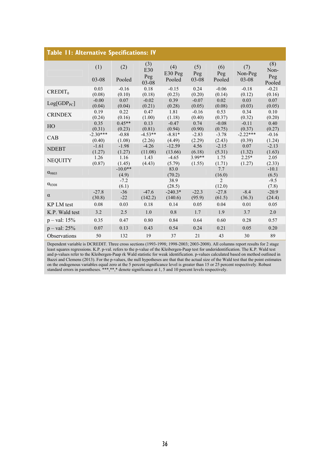| <b>Table II: Alternative Specifications: IV</b> |                      |                    |                     |                      |                   |                          |                      |                    |  |  |
|-------------------------------------------------|----------------------|--------------------|---------------------|----------------------|-------------------|--------------------------|----------------------|--------------------|--|--|
|                                                 | (1)                  | (2)                | (3)<br>E30<br>Peg   | (4)<br>E30 Peg       | (5)<br>Peg        | (6)<br>Peg               | (7)<br>Non-Peg       | (8)<br>Non-<br>Peg |  |  |
|                                                 | 03-08                | Pooled             | $03 - 08$           | Pooled               | $03 - 08$         | Pooled                   | 03-08                | Pooled             |  |  |
| $CREDIT_0$                                      | 0.03<br>(0.08)       | $-0.16$<br>(0.10)  | 0.18<br>(0.18)      | $-0.15$<br>(0.23)    | 0.24<br>(0.20)    | $-0.06$<br>(0.14)        | $-0.18$<br>(0.12)    | $-0.21$<br>(0.16)  |  |  |
| Log[GDP <sub>PC</sub> ]                         | $-0.00$<br>(0.04)    | 0.07<br>(0.04)     | $-0.02$<br>(0.21)   | 0.39<br>(0.28)       | $-0.07$<br>(0.05) | 0.02<br>(0.08)           | 0.03<br>(0.03)       | 0.07<br>(0.05)     |  |  |
| <b>CRINDEX</b>                                  | 0.19<br>(0.24)       | 0.22<br>(0.16)     | 0.47<br>(1.00)      | 1.81<br>(1.18)       | $-0.16$<br>(0.40) | 0.53<br>(0.37)           | 0.34<br>(0.32)       | 0.10<br>(0.20)     |  |  |
| HO                                              | 0.35<br>(0.31)       | $0.45**$<br>(0.23) | 0.13<br>(0.81)      | $-0.47$<br>(0.94)    | 0.74<br>(0.90)    | $-0.08$<br>(0.75)        | $-0.11$<br>(0.37)    | 0.40<br>(0.27)     |  |  |
| CAB                                             | $-2.30***$<br>(0.40) | $-0.88$<br>(1.08)  | $-4.53**$<br>(2.26) | $-8.81*$<br>(4.49)   | $-2.83$<br>(2.29) | $-3.78$<br>(2.43)        | $-2.22***$<br>(0.39) | $-0.16$<br>(1.24)  |  |  |
| <b>NDEBT</b>                                    | $-1.61$<br>(1.27)    | $-1.98$<br>(1.27)  | $-4.26$<br>(11.08)  | $-12.59$<br>(13.66)  | 4.56<br>(6.18)    | $-2.15$<br>(5.31)        | 0.07<br>(1.32)       | $-2.13$<br>(1.63)  |  |  |
| <b>NEQUITY</b>                                  | 1.26<br>(0.87)       | 1.16<br>(1.45)     | 1.43<br>(4.43)      | $-4.65$<br>(5.79)    | 3.99**<br>(1.55)  | 1.75<br>(1.71)           | $2.25*$<br>(1.27)    | 2.05<br>(2.33)     |  |  |
| $\alpha_{9803}$                                 |                      | $-10.0**$<br>(4.9) |                     | 83.0<br>(70.2)       |                   | 7.7<br>(16.0)            |                      | $-10.1$<br>(6.5)   |  |  |
| $\alpha_{0308}$                                 |                      | $-7.2$<br>(6.1)    |                     | 38.9<br>(28.5)       |                   | $\overline{c}$<br>(12.0) |                      | $-9.5$<br>(7.8)    |  |  |
| $\alpha$                                        | $-27.8$<br>(30.8)    | $-36$<br>$-22$     | $-47.6$<br>(142.2)  | $-240.3*$<br>(140.6) | $-22.3$<br>(95.9) | $-27.8$<br>(61.5)        | $-8.4$<br>(36.3)     | $-20.9$<br>(24.4)  |  |  |
| <b>KP LM</b> test                               | 0.08                 | 0.03               | 0.18                | 0.14                 | 0.05              | 0.04                     | 0.01                 | 0.05               |  |  |
| K.P. Wald test                                  | 3.2                  | 2.5                | 1.0                 | 0.8                  | 1.7               | 1.9                      | 3.7                  | 2.0                |  |  |
| $p - val: 15%$                                  | 0.35                 | 0.47               | 0.80                | 0.84                 | 0.64              | 0.60                     | 0.28                 | 0.57               |  |  |
| $p - val: 25%$                                  | 0.07                 | 0.13               | 0.43                | 0.54                 | 0.24              | 0.21                     | 0.05                 | 0.20               |  |  |
| Observations                                    | 50                   | 132                | 19                  | 37                   | 21                | 43                       | 30                   | 89                 |  |  |

Dependent variable is DCREDIT. Three cross sections (1993-1998; 1998-2003; 2003-2008). All columns report results for 2 stage least squares regressions. K.P. p-val. refers to the p-value of the Kleibergen-Paap test for underidentification. The K.P. Wald test and p-values refer to the Kleibergen-Paap rk Wald statistic for weak identification. p-values calculated based on method outlined in Bazzi and Clemens (2013). For the p-values, the null hypotheses are that that the actual size of the Wald test that the point estimates on the endogenous variables equal zero at the 5 percent significance level is greater than 15 or 25 percent respectively. Robust standard errors in parentheses. \*\*\*,\*\*,\* denote significance at 1, 5 and 10 percent levels respectively.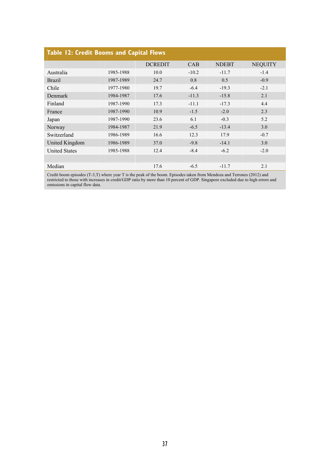| <b>Table 12: Credit Booms and Capital Flows</b> |           |                |         |              |                |  |  |  |  |  |
|-------------------------------------------------|-----------|----------------|---------|--------------|----------------|--|--|--|--|--|
|                                                 |           | <b>DCREDIT</b> | CAB     | <b>NDEBT</b> | <b>NEQUITY</b> |  |  |  |  |  |
| Australia                                       | 1985-1988 | 10.0           | $-10.2$ | $-11.7$      | $-1.4$         |  |  |  |  |  |
| <b>Brazil</b>                                   | 1987-1989 | 24.7           | 0.8     | 0.5          | $-0.9$         |  |  |  |  |  |
| Chile                                           | 1977-1980 | 19.7           | $-6.4$  | $-19.3$      | $-2.1$         |  |  |  |  |  |
| <b>Denmark</b>                                  | 1984-1987 | 17.6           | $-11.3$ | $-15.8$      | 2.1            |  |  |  |  |  |
| Finland                                         | 1987-1990 | 17.3           | $-11.1$ | $-17.3$      | 4.4            |  |  |  |  |  |
| France                                          | 1987-1990 | 10.9           | $-1.5$  | $-2.0$       | 2.3            |  |  |  |  |  |
| Japan                                           | 1987-1990 | 23.6           | 6.1     | $-0.3$       | 5.2            |  |  |  |  |  |
| Norway                                          | 1984-1987 | 21.9           | $-6.5$  | $-13.4$      | 3.0            |  |  |  |  |  |
| Switzerland                                     | 1986-1989 | 16.6           | 12.3    | 17.9         | $-0.7$         |  |  |  |  |  |
| United Kingdom                                  | 1986-1989 | 37.0           | $-9.8$  | $-14.1$      | 3.0            |  |  |  |  |  |
| <b>United States</b>                            | 1985-1988 | 12.4           | $-8.4$  | $-6.2$       | $-2.0$         |  |  |  |  |  |
|                                                 |           |                |         |              |                |  |  |  |  |  |
| Median                                          |           | 17.6           | $-6.5$  | $-11.7$      | 2.1            |  |  |  |  |  |

Credit boom episodes (T-3,T) where year T is the peak of the boom. Episodes taken from Mendoza and Terrones (2012) and restricted to those with increases in credit/GDP ratio by more than 10 percent of GDP. Singapore excluded due to high errors and omissions in capital flow data.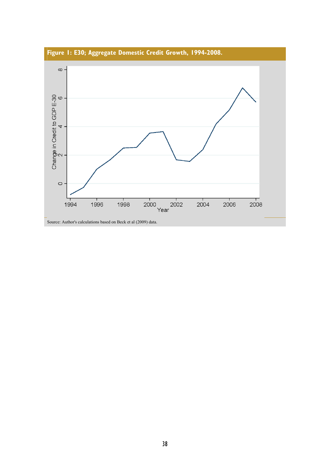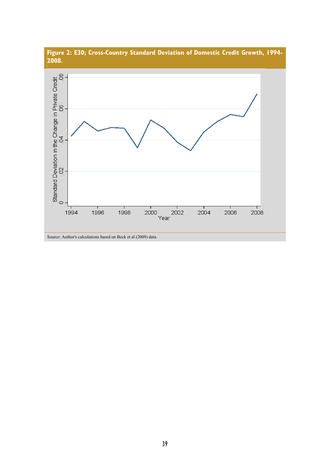

Year

Source: Author's calculations based on Beck et al (2009) data.

 $\circ$ 

# **Figure 2: E30; Cross-Country Standard Deviation of Domestic Credit Growth, 1994-**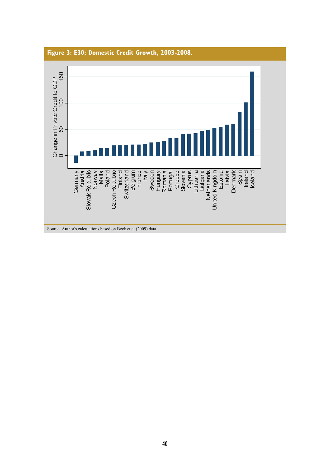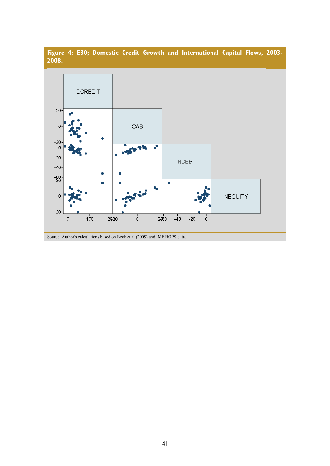

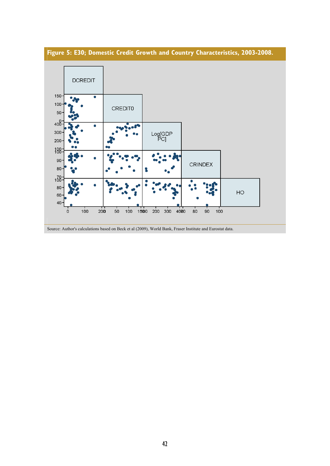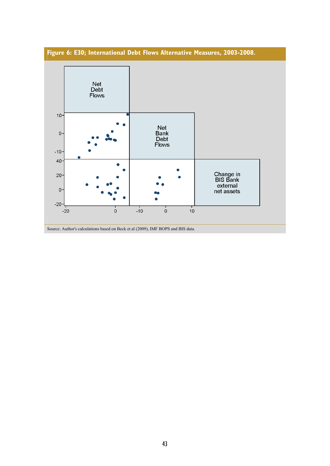